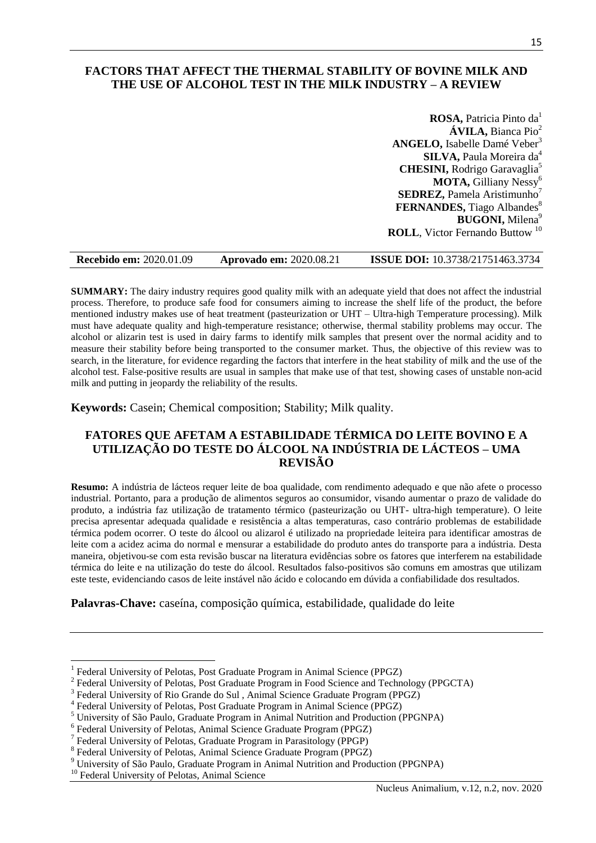## **FACTORS THAT AFFECT THE THERMAL STABILITY OF BOVINE MILK AND THE USE OF ALCOHOL TEST IN THE MILK INDUSTRY – A REVIEW**

**ROSA, Patricia Pinto da**<sup>1</sup> **ÁVILA, Bianca Pio<sup>2</sup> ANGELO, Isabelle Damé Veber<sup>3</sup> SILVA, Paula Moreira da**4 **CHESINI,** Rodrigo Garavaglia<sup>5</sup> **MOTA,** Gilliany Nessy<sup>6</sup> **SEDREZ, Pamela Aristimunho**7 **FERNANDES,** Tiago Albandes 8 **BUGONI, Milena**<sup>9</sup> **ROLL**, Victor Fernando Buttow<sup>10</sup>

| <b>Recebido em: 2020.01.09</b> | <b>Aprovado em: 2020.08.21</b> | <b>ISSUE DOI:</b> 10.3738/21751463.3734 |
|--------------------------------|--------------------------------|-----------------------------------------|
|--------------------------------|--------------------------------|-----------------------------------------|

**SUMMARY:** The dairy industry requires good quality milk with an adequate yield that does not affect the industrial process. Therefore, to produce safe food for consumers aiming to increase the shelf life of the product, the before mentioned industry makes use of heat treatment (pasteurization or UHT – Ultra-high Temperature processing). Milk must have adequate quality and high-temperature resistance; otherwise, thermal stability problems may occur. The alcohol or alizarin test is used in dairy farms to identify milk samples that present over the normal acidity and to measure their stability before being transported to the consumer market. Thus, the objective of this review was to search, in the literature, for evidence regarding the factors that interfere in the heat stability of milk and the use of the alcohol test. False-positive results are usual in samples that make use of that test, showing cases of unstable non-acid milk and putting in jeopardy the reliability of the results.

**Keywords:** Casein; Chemical composition; Stability; Milk quality.

## **FATORES QUE AFETAM A ESTABILIDADE TÉRMICA DO LEITE BOVINO E A UTILIZAÇÃO DO TESTE DO ÁLCOOL NA INDÚSTRIA DE LÁCTEOS – UMA REVISÃO**

**Resumo:** A indústria de lácteos requer leite de boa qualidade, com rendimento adequado e que não afete o processo industrial. Portanto, para a produção de alimentos seguros ao consumidor, visando aumentar o prazo de validade do produto, a indústria faz utilização de tratamento térmico (pasteurização ou UHT- ultra-high temperature). O leite precisa apresentar adequada qualidade e resistência a altas temperaturas, caso contrário problemas de estabilidade térmica podem ocorrer. O teste do álcool ou alizarol é utilizado na propriedade leiteira para identificar amostras de leite com a acidez acima do normal e mensurar a estabilidade do produto antes do transporte para a indústria. Desta maneira, objetivou-se com esta revisão buscar na literatura evidências sobre os fatores que interferem na estabilidade térmica do leite e na utilização do teste do álcool. Resultados falso-positivos são comuns em amostras que utilizam este teste, evidenciando casos de leite instável não ácido e colocando em dúvida a confiabilidade dos resultados.

**Palavras-Chave:** caseína, composição química, estabilidade, qualidade do leite

 $\overline{\phantom{a}}$ 

<sup>1</sup> Federal University of Pelotas, Post Graduate Program in Animal Science (PPGZ)

<sup>&</sup>lt;sup>2</sup> Federal University of Pelotas, Post Graduate Program in Food Science and Technology (PPGCTA)

<sup>&</sup>lt;sup>3</sup> Federal University of Rio Grande do Sul, Animal Science Graduate Program (PPGZ)

<sup>&</sup>lt;sup>4</sup> Federal University of Pelotas, Post Graduate Program in Animal Science (PPGZ)

<sup>5</sup> University of São Paulo, Graduate Program in Animal Nutrition and Production (PPGNPA)

<sup>&</sup>lt;sup>6</sup> Federal University of Pelotas, Animal Science Graduate Program (PPGZ)

<sup>&</sup>lt;sup>7</sup> Federal University of Pelotas, Graduate Program in Parasitology (PPGP)

<sup>&</sup>lt;sup>8</sup> Federal University of Pelotas, Animal Science Graduate Program (PPGZ)

<sup>9</sup> University of São Paulo, Graduate Program in Animal Nutrition and Production (PPGNPA)

<sup>&</sup>lt;sup>10</sup> Federal University of Pelotas, Animal Science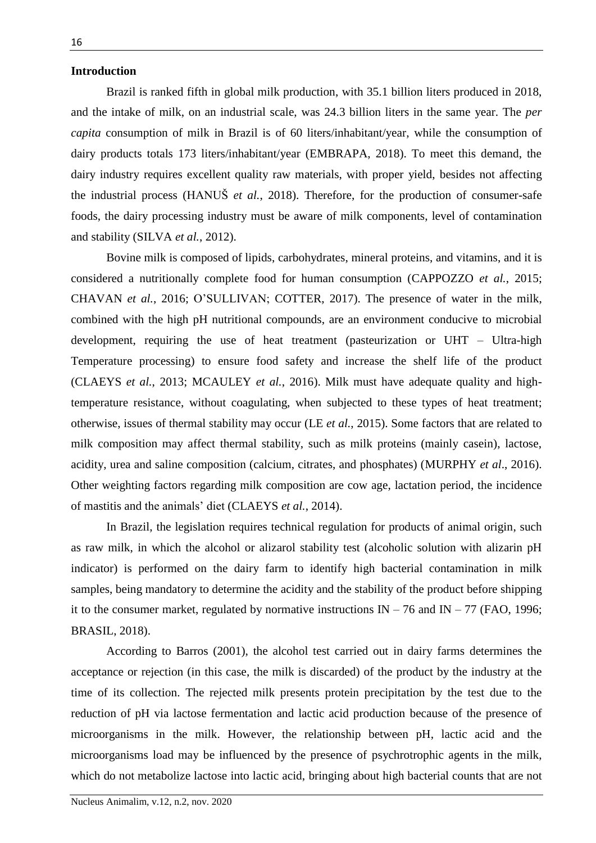## **Introduction**

Brazil is ranked fifth in global milk production, with 35.1 billion liters produced in 2018, and the intake of milk, on an industrial scale, was 24.3 billion liters in the same year. The *per capita* consumption of milk in Brazil is of 60 liters/inhabitant/year, while the consumption of dairy products totals 173 liters/inhabitant/year (EMBRAPA, 2018). To meet this demand, the dairy industry requires excellent quality raw materials, with proper yield, besides not affecting the industrial process (HANUŠ *et al.*, 2018). Therefore, for the production of consumer-safe foods, the dairy processing industry must be aware of milk components, level of contamination and stability (SILVA *et al.*, 2012).

Bovine milk is composed of lipids, carbohydrates, mineral proteins, and vitamins, and it is considered a nutritionally complete food for human consumption (CAPPOZZO *et al.*, 2015; CHAVAN *et al.*, 2016; O'SULLIVAN; COTTER, 2017). The presence of water in the milk, combined with the high pH nutritional compounds, are an environment conducive to microbial development, requiring the use of heat treatment (pasteurization or UHT – Ultra-high Temperature processing) to ensure food safety and increase the shelf life of the product (CLAEYS *et al.*, 2013; MCAULEY *et al.*, 2016). Milk must have adequate quality and hightemperature resistance, without coagulating, when subjected to these types of heat treatment; otherwise, issues of thermal stability may occur (LE *et al.*, 2015). Some factors that are related to milk composition may affect thermal stability, such as milk proteins (mainly casein), lactose, acidity, urea and saline composition (calcium, citrates, and phosphates) (MURPHY *et al*., 2016). Other weighting factors regarding milk composition are cow age, lactation period, the incidence of mastitis and the animals' diet (CLAEYS *et al.*, 2014).

In Brazil, the legislation requires technical regulation for products of animal origin, such as raw milk, in which the alcohol or alizarol stability test (alcoholic solution with alizarin pH indicator) is performed on the dairy farm to identify high bacterial contamination in milk samples, being mandatory to determine the acidity and the stability of the product before shipping it to the consumer market, regulated by normative instructions  $IN - 76$  and  $IN - 77$  (FAO, 1996; BRASIL, 2018).

According to Barros (2001), the alcohol test carried out in dairy farms determines the acceptance or rejection (in this case, the milk is discarded) of the product by the industry at the time of its collection. The rejected milk presents protein precipitation by the test due to the reduction of pH via lactose fermentation and lactic acid production because of the presence of microorganisms in the milk. However, the relationship between pH, lactic acid and the microorganisms load may be influenced by the presence of psychrotrophic agents in the milk, which do not metabolize lactose into lactic acid, bringing about high bacterial counts that are not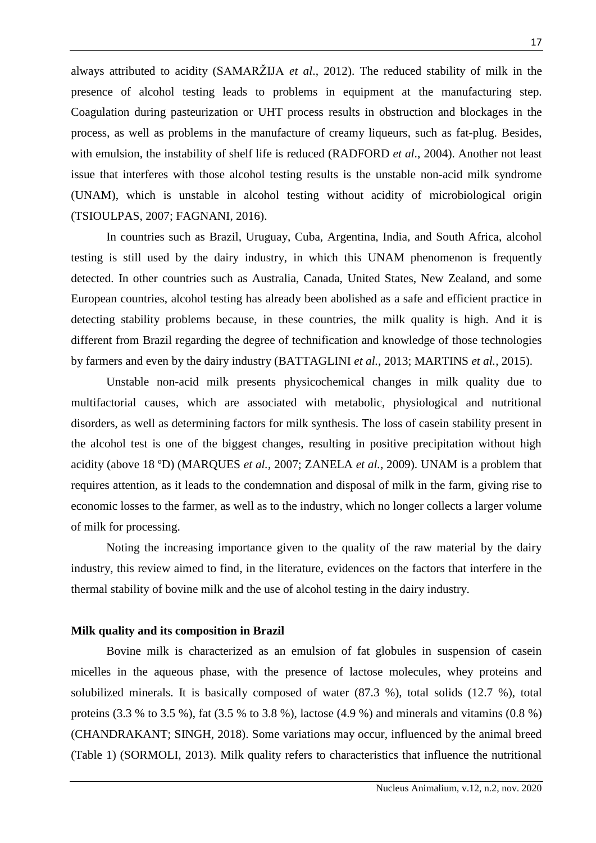always attributed to acidity (SAMARŽIJA *et al*., 2012). The reduced stability of milk in the presence of alcohol testing leads to problems in equipment at the manufacturing step. Coagulation during pasteurization or UHT process results in obstruction and blockages in the process, as well as problems in the manufacture of creamy liqueurs, such as fat-plug. Besides, with emulsion, the instability of shelf life is reduced (RADFORD *et al*., 2004). Another not least issue that interferes with those alcohol testing results is the unstable non-acid milk syndrome (UNAM), which is unstable in alcohol testing without acidity of microbiological origin (TSIOULPAS, 2007; FAGNANI, 2016).

In countries such as Brazil, Uruguay, Cuba, Argentina, India, and South Africa, alcohol testing is still used by the dairy industry, in which this UNAM phenomenon is frequently detected. In other countries such as Australia, Canada, United States, New Zealand, and some European countries, alcohol testing has already been abolished as a safe and efficient practice in detecting stability problems because, in these countries, the milk quality is high. And it is different from Brazil regarding the degree of technification and knowledge of those technologies by farmers and even by the dairy industry (BATTAGLINI *et al.*, 2013; MARTINS *et al.*, 2015).

Unstable non-acid milk presents physicochemical changes in milk quality due to multifactorial causes, which are associated with metabolic, physiological and nutritional disorders, as well as determining factors for milk synthesis. The loss of casein stability present in the alcohol test is one of the biggest changes, resulting in positive precipitation without high acidity (above 18 ºD) (MARQUES *et al.*, 2007; ZANELA *et al.*, 2009). UNAM is a problem that requires attention, as it leads to the condemnation and disposal of milk in the farm, giving rise to economic losses to the farmer, as well as to the industry, which no longer collects a larger volume of milk for processing.

Noting the increasing importance given to the quality of the raw material by the dairy industry, this review aimed to find, in the literature, evidences on the factors that interfere in the thermal stability of bovine milk and the use of alcohol testing in the dairy industry.

## **Milk quality and its composition in Brazil**

Bovine milk is characterized as an emulsion of fat globules in suspension of casein micelles in the aqueous phase, with the presence of lactose molecules, whey proteins and solubilized minerals. It is basically composed of water (87.3 %), total solids (12.7 %), total proteins (3.3 % to 3.5 %), fat (3.5 % to 3.8 %), lactose (4.9 %) and minerals and vitamins (0.8 %) (CHANDRAKANT; SINGH, 2018). Some variations may occur, influenced by the animal breed (Table 1) (SORMOLI, 2013). Milk quality refers to characteristics that influence the nutritional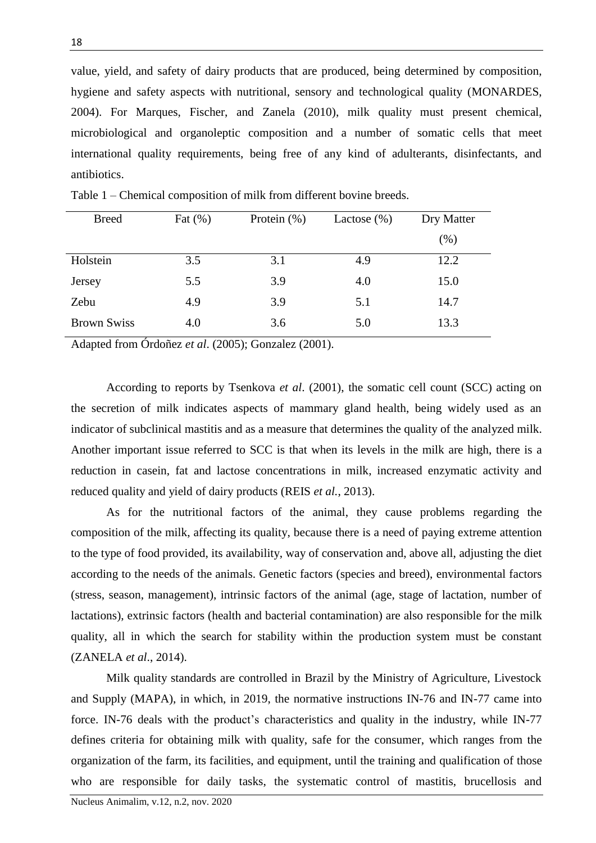value, yield, and safety of dairy products that are produced, being determined by composition, hygiene and safety aspects with nutritional, sensory and technological quality (MONARDES, 2004). For Marques, Fischer, and Zanela (2010), milk quality must present chemical, microbiological and organoleptic composition and a number of somatic cells that meet international quality requirements, being free of any kind of adulterants, disinfectants, and antibiotics.

| <b>Breed</b>       | Fat $(\% )$ | Protein $(\%)$ | Lactose $(\%)$ | Dry Matter |
|--------------------|-------------|----------------|----------------|------------|
|                    |             |                |                | $(\% )$    |
| Holstein           | 3.5         | 3.1            | 4.9            | 12.2       |
| Jersey             | 5.5         | 3.9            | 4.0            | 15.0       |
| Zebu               | 4.9         | 3.9            | 5.1            | 14.7       |
| <b>Brown Swiss</b> | 4.0         | 3.6            | 5.0            | 13.3       |

Table 1 – Chemical composition of milk from different bovine breeds.

Adapted from Órdoñez *et al*. (2005); Gonzalez (2001).

According to reports by Tsenkova *et al*. (2001), the somatic cell count (SCC) acting on the secretion of milk indicates aspects of mammary gland health, being widely used as an indicator of subclinical mastitis and as a measure that determines the quality of the analyzed milk. Another important issue referred to SCC is that when its levels in the milk are high, there is a reduction in casein, fat and lactose concentrations in milk, increased enzymatic activity and reduced quality and yield of dairy products (REIS *et al.*, 2013).

As for the nutritional factors of the animal, they cause problems regarding the composition of the milk, affecting its quality, because there is a need of paying extreme attention to the type of food provided, its availability, way of conservation and, above all, adjusting the diet according to the needs of the animals. Genetic factors (species and breed), environmental factors (stress, season, management), intrinsic factors of the animal (age, stage of lactation, number of lactations), extrinsic factors (health and bacterial contamination) are also responsible for the milk quality, all in which the search for stability within the production system must be constant (ZANELA *et al*., 2014).

Milk quality standards are controlled in Brazil by the Ministry of Agriculture, Livestock and Supply (MAPA), in which, in 2019, the normative instructions IN-76 and IN-77 came into force. IN-76 deals with the product's characteristics and quality in the industry, while IN-77 defines criteria for obtaining milk with quality, safe for the consumer, which ranges from the organization of the farm, its facilities, and equipment, until the training and qualification of those who are responsible for daily tasks, the systematic control of mastitis, brucellosis and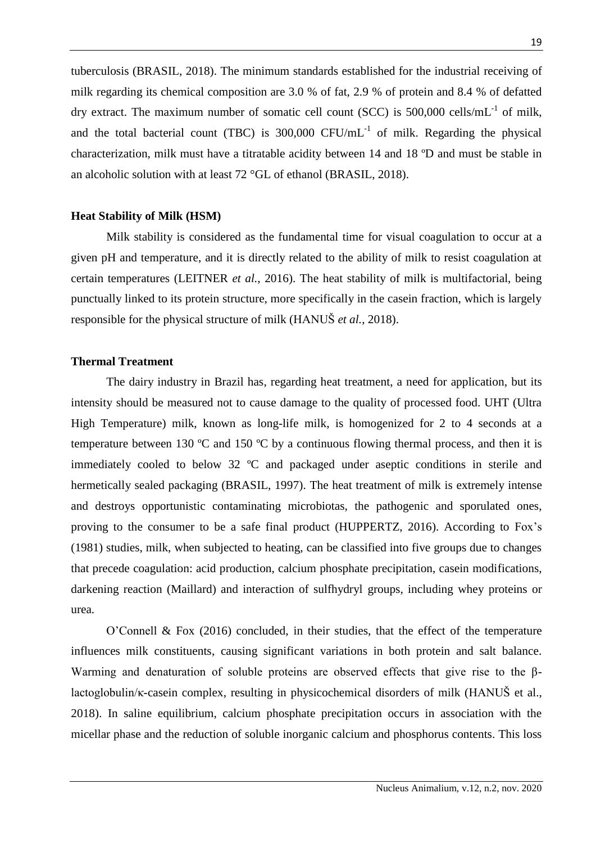tuberculosis (BRASIL, 2018). The minimum standards established for the industrial receiving of milk regarding its chemical composition are 3.0 % of fat, 2.9 % of protein and 8.4 % of defatted dry extract. The maximum number of somatic cell count (SCC) is 500,000 cells/mL $^{-1}$  of milk, and the total bacterial count (TBC) is  $300,000$  CFU/mL<sup>-1</sup> of milk. Regarding the physical characterization, milk must have a titratable acidity between 14 and 18 ºD and must be stable in an alcoholic solution with at least 72 °GL of ethanol (BRASIL, 2018).

## **Heat Stability of Milk (HSM)**

Milk stability is considered as the fundamental time for visual coagulation to occur at a given pH and temperature, and it is directly related to the ability of milk to resist coagulation at certain temperatures (LEITNER *et al.*, 2016). The heat stability of milk is multifactorial, being punctually linked to its protein structure, more specifically in the casein fraction, which is largely responsible for the physical structure of milk (HANUŠ *et al.*, 2018).

## **Thermal Treatment**

The dairy industry in Brazil has, regarding heat treatment, a need for application, but its intensity should be measured not to cause damage to the quality of processed food. UHT (Ultra High Temperature) milk, known as long-life milk, is homogenized for 2 to 4 seconds at a temperature between 130  $\degree$ C and 150  $\degree$ C by a continuous flowing thermal process, and then it is immediately cooled to below 32 ºC and packaged under aseptic conditions in sterile and hermetically sealed packaging (BRASIL, 1997). The heat treatment of milk is extremely intense and destroys opportunistic contaminating microbiotas, the pathogenic and sporulated ones, proving to the consumer to be a safe final product (HUPPERTZ, 2016). According to Fox's (1981) studies, milk, when subjected to heating, can be classified into five groups due to changes that precede coagulation: acid production, calcium phosphate precipitation, casein modifications, darkening reaction (Maillard) and interaction of sulfhydryl groups, including whey proteins or urea.

O'Connell & Fox (2016) concluded, in their studies, that the effect of the temperature influences milk constituents, causing significant variations in both protein and salt balance. Warming and denaturation of soluble proteins are observed effects that give rise to the βlactoglobulin/κ-casein complex, resulting in physicochemical disorders of milk (HANUŠ et al., 2018). In saline equilibrium, calcium phosphate precipitation occurs in association with the micellar phase and the reduction of soluble inorganic calcium and phosphorus contents. This loss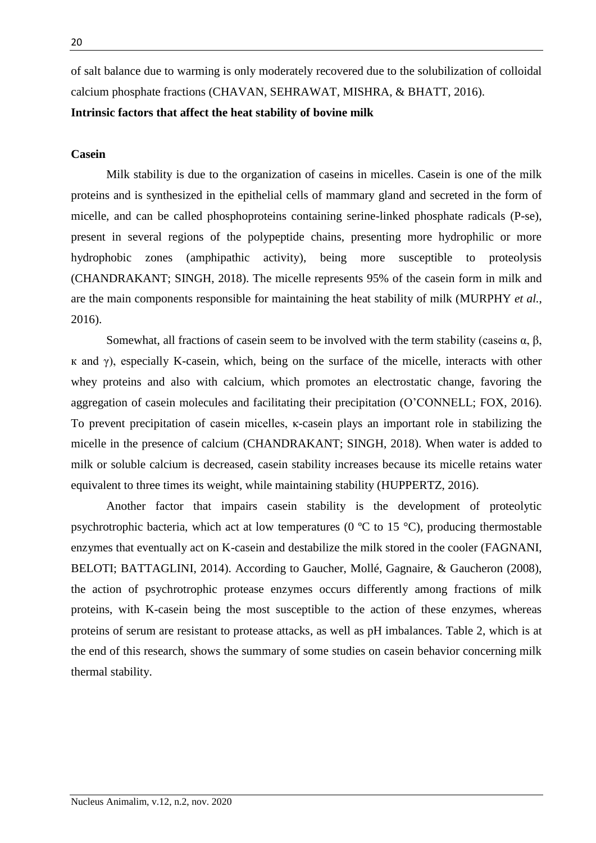of salt balance due to warming is only moderately recovered due to the solubilization of colloidal calcium phosphate fractions (CHAVAN, SEHRAWAT, MISHRA, & BHATT, 2016).

## **Intrinsic factors that affect the heat stability of bovine milk**

## **Casein**

Milk stability is due to the organization of caseins in micelles. Casein is one of the milk proteins and is synthesized in the epithelial cells of mammary gland and secreted in the form of micelle, and can be called phosphoproteins containing serine-linked phosphate radicals (P-se), present in several regions of the polypeptide chains, presenting more hydrophilic or more hydrophobic zones (amphipathic activity), being more susceptible to proteolysis (CHANDRAKANT; SINGH, 2018). The micelle represents 95% of the casein form in milk and are the main components responsible for maintaining the heat stability of milk (MURPHY *et al.*, 2016).

Somewhat, all fractions of casein seem to be involved with the term stability (caseins α, β, к and γ), especially K-casein, which, being on the surface of the micelle, interacts with other whey proteins and also with calcium, which promotes an electrostatic change, favoring the aggregation of casein molecules and facilitating their precipitation (O'CONNELL; FOX, 2016). To prevent precipitation of casein micelles, κ-casein plays an important role in stabilizing the micelle in the presence of calcium (CHANDRAKANT; SINGH, 2018). When water is added to milk or soluble calcium is decreased, casein stability increases because its micelle retains water equivalent to three times its weight, while maintaining stability (HUPPERTZ, 2016).

Another factor that impairs casein stability is the development of proteolytic psychrotrophic bacteria, which act at low temperatures (0 ºC to 15 °C), producing thermostable enzymes that eventually act on K-casein and destabilize the milk stored in the cooler (FAGNANI, BELOTI; BATTAGLINI, 2014). According to Gaucher, Mollé, Gagnaire, & Gaucheron (2008), the action of psychrotrophic protease enzymes occurs differently among fractions of milk proteins, with K-casein being the most susceptible to the action of these enzymes, whereas proteins of serum are resistant to protease attacks, as well as pH imbalances. Table 2, which is at the end of this research, shows the summary of some studies on casein behavior concerning milk thermal stability.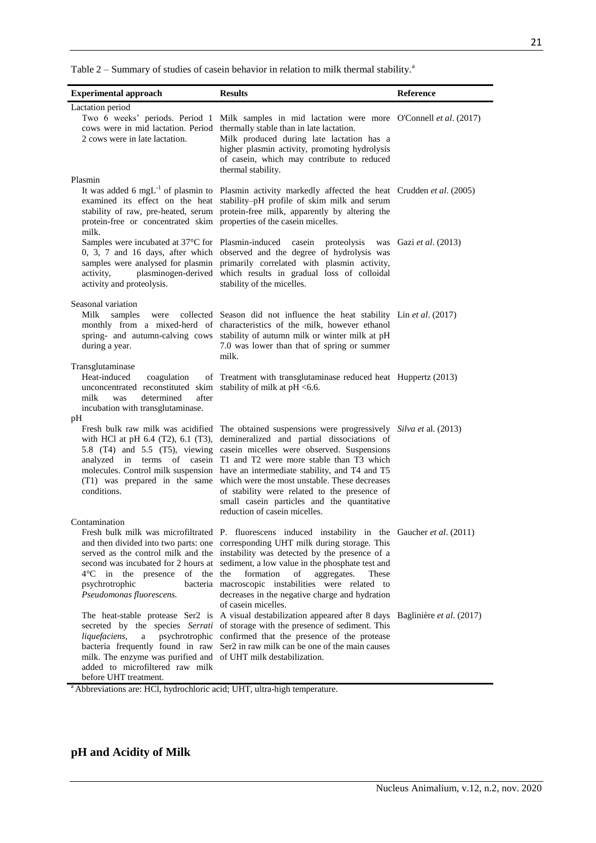Table  $2$  – Summary of studies of casein behavior in relation to milk thermal stability.<sup>a</sup>

| <b>Experimental approach</b>                                                                                                                                                                  | <b>Results</b>                                                                                                                                                                                                                                                                                                                                                                                                                                                                                                                                                                                                                             | Reference |
|-----------------------------------------------------------------------------------------------------------------------------------------------------------------------------------------------|--------------------------------------------------------------------------------------------------------------------------------------------------------------------------------------------------------------------------------------------------------------------------------------------------------------------------------------------------------------------------------------------------------------------------------------------------------------------------------------------------------------------------------------------------------------------------------------------------------------------------------------------|-----------|
| Lactation period                                                                                                                                                                              |                                                                                                                                                                                                                                                                                                                                                                                                                                                                                                                                                                                                                                            |           |
| 2 cows were in late lactation.<br>Plasmin                                                                                                                                                     | Two 6 weeks' periods. Period 1 Milk samples in mid lactation were more O'Connell et al. (2017)<br>cows were in mid lactation. Period thermally stable than in late lactation.<br>Milk produced during late lactation has a<br>higher plasmin activity, promoting hydrolysis<br>of casein, which may contribute to reduced<br>thermal stability.                                                                                                                                                                                                                                                                                            |           |
| protein-free or concentrated skim properties of the casein micelles.<br>milk.                                                                                                                 | It was added 6 mgL <sup>-1</sup> of plasmin to Plasmin activity markedly affected the heat Crudden et al. (2005)<br>examined its effect on the heat stability-pH profile of skim milk and serum<br>stability of raw, pre-heated, serum protein-free milk, apparently by altering the                                                                                                                                                                                                                                                                                                                                                       |           |
| activity.<br>activity and proteolysis.                                                                                                                                                        | Samples were incubated at 37°C for Plasmin-induced case in proteolysis was Gazi et al. (2013)<br>0, 3, 7 and 16 days, after which observed and the degree of hydrolysis was<br>samples were analysed for plasmin primarily correlated with plasmin activity,<br>plasminogen-derived which results in gradual loss of colloidal<br>stability of the micelles.                                                                                                                                                                                                                                                                               |           |
| Seasonal variation<br>Milk<br>samples<br>were<br>during a year.                                                                                                                               | collected Season did not influence the heat stability Lin et al. (2017)<br>monthly from a mixed-herd of characteristics of the milk, however ethanol<br>spring- and autumn-calving cows stability of autumn milk or winter milk at pH<br>7.0 was lower than that of spring or summer<br>milk.                                                                                                                                                                                                                                                                                                                                              |           |
| Transglutaminase<br>Heat-induced<br>coagulation<br>unconcentrated reconstituted skim stability of milk at pH <6.6.<br>determined<br>after<br>milk<br>was<br>incubation with transglutaminase. | of Treatment with transglutaminase reduced heat Huppertz (2013)                                                                                                                                                                                                                                                                                                                                                                                                                                                                                                                                                                            |           |
| pН<br>conditions.                                                                                                                                                                             | Fresh bulk raw milk was acidified The obtained suspensions were progressively Silva et al. (2013)<br>with HCl at pH 6.4 (T2), 6.1 (T3), demineralized and partial dissociations of<br>5.8 (T4) and 5.5 (T5), viewing casein micelles were observed. Suspensions<br>analyzed in terms of casein T1 and T2 were more stable than T3 which<br>molecules. Control milk suspension have an intermediate stability, and T4 and T5<br>(T1) was prepared in the same which were the most unstable. These decreases<br>of stability were related to the presence of<br>small casein particles and the quantitative<br>reduction of casein micelles. |           |
| Contamination<br>of the the<br>in the presence<br>4°C.<br>psychrotrophic<br>Pseudomonas fluorescens.                                                                                          | Fresh bulk milk was microfiltrated P. fluorescens induced instability in the Gaucher et al. (2011)<br>and then divided into two parts: one corresponding UHT milk during storage. This<br>served as the control milk and the instability was detected by the presence of a<br>second was incubated for 2 hours at sediment, a low value in the phosphate test and<br>formation<br>of<br>aggregates.<br>These<br>bacteria macroscopic instabilities were related to<br>decreases in the negative charge and hydration<br>of casein micelles.                                                                                                |           |
| liquefaciens,<br>a<br>milk. The enzyme was purified and of UHT milk destabilization.<br>added to microfiltered raw milk<br>before UHT treatment.                                              | The heat-stable protease Ser2 is A visual destabilization appeared after 8 days Baglinière et al. (2017)<br>secreted by the species Serrati of storage with the presence of sediment. This<br>psychrotrophic confirmed that the presence of the protease<br>bacteria frequently found in raw Ser2 in raw milk can be one of the main causes                                                                                                                                                                                                                                                                                                |           |

<sup>a</sup> Abbreviations are: HCl, hydrochloric acid; UHT, ultra-high temperature.

# **pH and Acidity of Milk**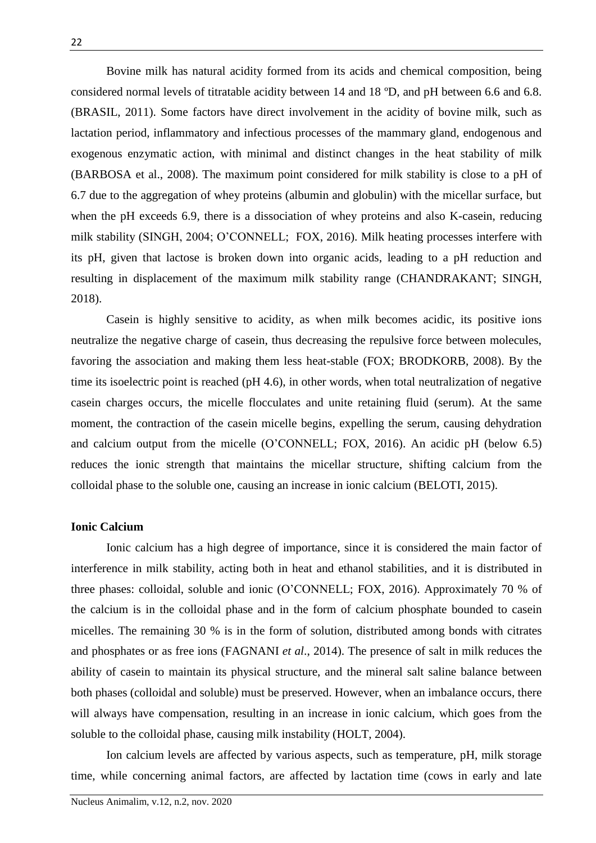Bovine milk has natural acidity formed from its acids and chemical composition, being considered normal levels of titratable acidity between 14 and 18 ºD, and pH between 6.6 and 6.8. (BRASIL, 2011). Some factors have direct involvement in the acidity of bovine milk, such as lactation period, inflammatory and infectious processes of the mammary gland, endogenous and exogenous enzymatic action, with minimal and distinct changes in the heat stability of milk (BARBOSA et al., 2008). The maximum point considered for milk stability is close to a pH of 6.7 due to the aggregation of whey proteins (albumin and globulin) with the micellar surface, but when the pH exceeds 6.9, there is a dissociation of whey proteins and also K-casein, reducing milk stability (SINGH, 2004; O'CONNELL; FOX, 2016). Milk heating processes interfere with its pH, given that lactose is broken down into organic acids, leading to a pH reduction and resulting in displacement of the maximum milk stability range (CHANDRAKANT; SINGH, 2018).

Casein is highly sensitive to acidity, as when milk becomes acidic, its positive ions neutralize the negative charge of casein, thus decreasing the repulsive force between molecules, favoring the association and making them less heat-stable (FOX; BRODKORB, 2008). By the time its isoelectric point is reached (pH 4.6), in other words, when total neutralization of negative casein charges occurs, the micelle flocculates and unite retaining fluid (serum). At the same moment, the contraction of the casein micelle begins, expelling the serum, causing dehydration and calcium output from the micelle (O'CONNELL; FOX, 2016). An acidic pH (below 6.5) reduces the ionic strength that maintains the micellar structure, shifting calcium from the colloidal phase to the soluble one, causing an increase in ionic calcium (BELOTI, 2015).

## **Ionic Calcium**

Ionic calcium has a high degree of importance, since it is considered the main factor of interference in milk stability, acting both in heat and ethanol stabilities, and it is distributed in three phases: colloidal, soluble and ionic (O'CONNELL; FOX, 2016). Approximately 70 % of the calcium is in the colloidal phase and in the form of calcium phosphate bounded to casein micelles. The remaining 30 % is in the form of solution, distributed among bonds with citrates and phosphates or as free ions (FAGNANI *et al*., 2014). The presence of salt in milk reduces the ability of casein to maintain its physical structure, and the mineral salt saline balance between both phases (colloidal and soluble) must be preserved. However, when an imbalance occurs, there will always have compensation, resulting in an increase in ionic calcium, which goes from the soluble to the colloidal phase, causing milk instability (HOLT, 2004).

Ion calcium levels are affected by various aspects, such as temperature, pH, milk storage time, while concerning animal factors, are affected by lactation time (cows in early and late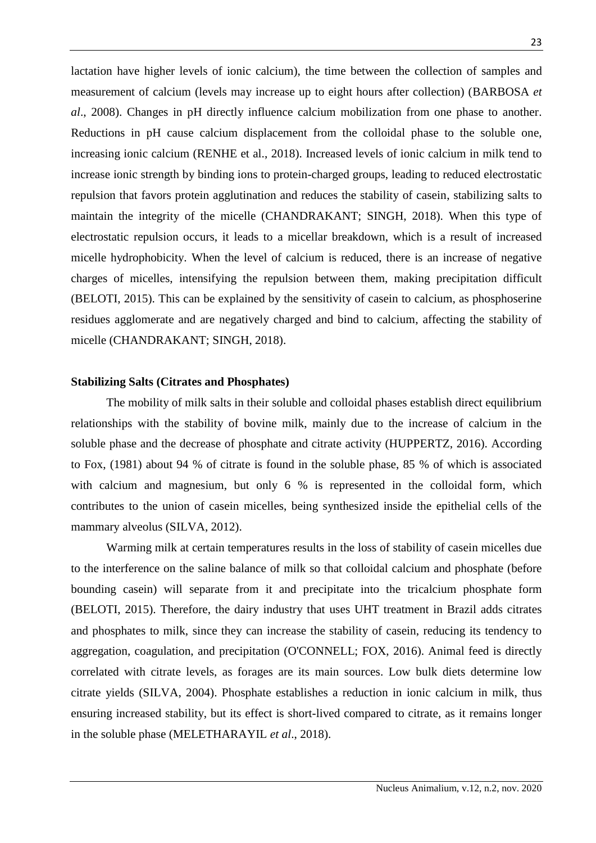lactation have higher levels of ionic calcium), the time between the collection of samples and measurement of calcium (levels may increase up to eight hours after collection) (BARBOSA *et al*., 2008). Changes in pH directly influence calcium mobilization from one phase to another. Reductions in pH cause calcium displacement from the colloidal phase to the soluble one, increasing ionic calcium (RENHE et al., 2018). Increased levels of ionic calcium in milk tend to increase ionic strength by binding ions to protein-charged groups, leading to reduced electrostatic repulsion that favors protein agglutination and reduces the stability of casein, stabilizing salts to maintain the integrity of the micelle (CHANDRAKANT; SINGH, 2018). When this type of electrostatic repulsion occurs, it leads to a micellar breakdown, which is a result of increased micelle hydrophobicity. When the level of calcium is reduced, there is an increase of negative charges of micelles, intensifying the repulsion between them, making precipitation difficult (BELOTI, 2015). This can be explained by the sensitivity of casein to calcium, as phosphoserine residues agglomerate and are negatively charged and bind to calcium, affecting the stability of micelle (CHANDRAKANT; SINGH, 2018).

### **Stabilizing Salts (Citrates and Phosphates)**

The mobility of milk salts in their soluble and colloidal phases establish direct equilibrium relationships with the stability of bovine milk, mainly due to the increase of calcium in the soluble phase and the decrease of phosphate and citrate activity (HUPPERTZ, 2016). According to Fox, (1981) about 94 % of citrate is found in the soluble phase, 85 % of which is associated with calcium and magnesium, but only 6 % is represented in the colloidal form, which contributes to the union of casein micelles, being synthesized inside the epithelial cells of the mammary alveolus (SILVA, 2012).

Warming milk at certain temperatures results in the loss of stability of casein micelles due to the interference on the saline balance of milk so that colloidal calcium and phosphate (before bounding casein) will separate from it and precipitate into the tricalcium phosphate form (BELOTI, 2015). Therefore, the dairy industry that uses UHT treatment in Brazil adds citrates and phosphates to milk, since they can increase the stability of casein, reducing its tendency to aggregation, coagulation, and precipitation (O'CONNELL; FOX, 2016). Animal feed is directly correlated with citrate levels, as forages are its main sources. Low bulk diets determine low citrate yields (SILVA, 2004). Phosphate establishes a reduction in ionic calcium in milk, thus ensuring increased stability, but its effect is short-lived compared to citrate, as it remains longer in the soluble phase (MELETHARAYIL *et al*., 2018).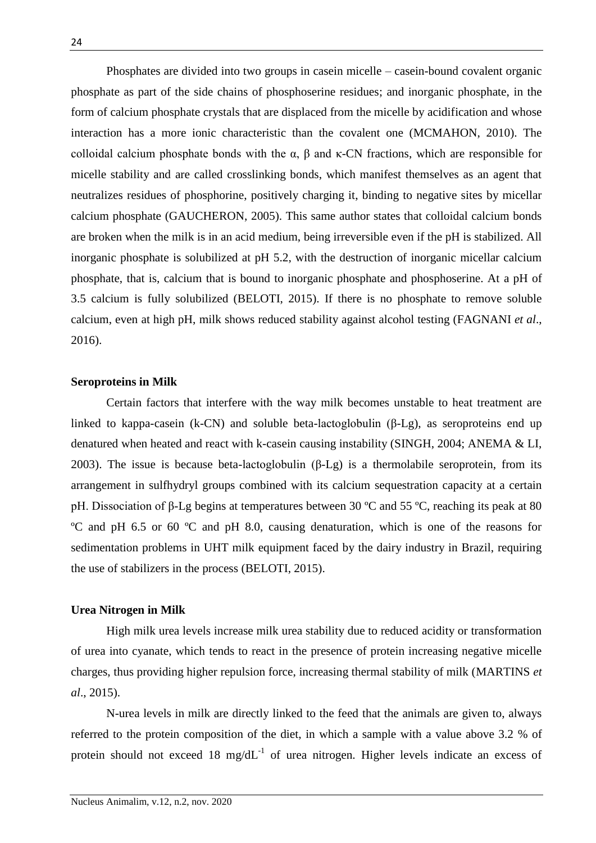Phosphates are divided into two groups in casein micelle – casein-bound covalent organic phosphate as part of the side chains of phosphoserine residues; and inorganic phosphate, in the form of calcium phosphate crystals that are displaced from the micelle by acidification and whose interaction has a more ionic characteristic than the covalent one (MCMAHON, 2010). The colloidal calcium phosphate bonds with the  $\alpha$ ,  $\beta$  and  $\kappa$ -CN fractions, which are responsible for micelle stability and are called crosslinking bonds, which manifest themselves as an agent that neutralizes residues of phosphorine, positively charging it, binding to negative sites by micellar calcium phosphate (GAUCHERON, 2005). This same author states that colloidal calcium bonds are broken when the milk is in an acid medium, being irreversible even if the pH is stabilized. All inorganic phosphate is solubilized at pH 5.2, with the destruction of inorganic micellar calcium phosphate, that is, calcium that is bound to inorganic phosphate and phosphoserine. At a pH of 3.5 calcium is fully solubilized (BELOTI, 2015). If there is no phosphate to remove soluble calcium, even at high pH, milk shows reduced stability against alcohol testing (FAGNANI *et al*., 2016).

#### **Seroproteins in Milk**

Certain factors that interfere with the way milk becomes unstable to heat treatment are linked to kappa-casein (k-CN) and soluble beta-lactoglobulin (β-Lg), as seroproteins end up denatured when heated and react with k-casein causing instability (SINGH, 2004; ANEMA & LI, 2003). The issue is because beta-lactoglobulin (β-Lg) is a thermolabile seroprotein, from its arrangement in sulfhydryl groups combined with its calcium sequestration capacity at a certain pH. Dissociation of β-Lg begins at temperatures between 30 ºC and 55 ºC, reaching its peak at 80 ºC and pH 6.5 or 60 ºC and pH 8.0, causing denaturation, which is one of the reasons for sedimentation problems in UHT milk equipment faced by the dairy industry in Brazil, requiring the use of stabilizers in the process (BELOTI, 2015).

#### **Urea Nitrogen in Milk**

High milk urea levels increase milk urea stability due to reduced acidity or transformation of urea into cyanate, which tends to react in the presence of protein increasing negative micelle charges, thus providing higher repulsion force, increasing thermal stability of milk (MARTINS *et al*., 2015).

N-urea levels in milk are directly linked to the feed that the animals are given to, always referred to the protein composition of the diet, in which a sample with a value above 3.2 % of protein should not exceed 18 mg/dL $^{-1}$  of urea nitrogen. Higher levels indicate an excess of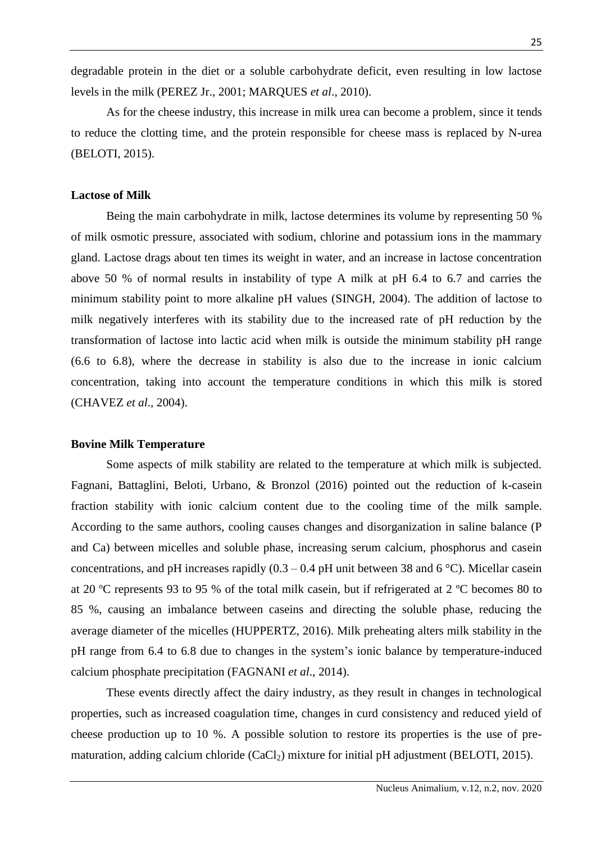degradable protein in the diet or a soluble carbohydrate deficit, even resulting in low lactose levels in the milk (PEREZ Jr., 2001; MARQUES *et al*., 2010).

As for the cheese industry, this increase in milk urea can become a problem, since it tends to reduce the clotting time, and the protein responsible for cheese mass is replaced by N-urea (BELOTI, 2015).

## **Lactose of Milk**

Being the main carbohydrate in milk, lactose determines its volume by representing 50 % of milk osmotic pressure, associated with sodium, chlorine and potassium ions in the mammary gland. Lactose drags about ten times its weight in water, and an increase in lactose concentration above 50 % of normal results in instability of type A milk at pH 6.4 to 6.7 and carries the minimum stability point to more alkaline pH values (SINGH, 2004). The addition of lactose to milk negatively interferes with its stability due to the increased rate of pH reduction by the transformation of lactose into lactic acid when milk is outside the minimum stability pH range (6.6 to 6.8), where the decrease in stability is also due to the increase in ionic calcium concentration, taking into account the temperature conditions in which this milk is stored (CHAVEZ *et al*., 2004).

#### **Bovine Milk Temperature**

Some aspects of milk stability are related to the temperature at which milk is subjected. Fagnani, Battaglini, Beloti, Urbano, & Bronzol (2016) pointed out the reduction of k-casein fraction stability with ionic calcium content due to the cooling time of the milk sample. According to the same authors, cooling causes changes and disorganization in saline balance (P and Ca) between micelles and soluble phase, increasing serum calcium, phosphorus and casein concentrations, and pH increases rapidly  $(0.3 - 0.4$  pH unit between 38 and 6 °C). Micellar casein at 20 ºC represents 93 to 95 % of the total milk casein, but if refrigerated at 2 ºC becomes 80 to 85 %, causing an imbalance between caseins and directing the soluble phase, reducing the average diameter of the micelles (HUPPERTZ, 2016). Milk preheating alters milk stability in the pH range from 6.4 to 6.8 due to changes in the system's ionic balance by temperature-induced calcium phosphate precipitation (FAGNANI *et al*., 2014).

These events directly affect the dairy industry, as they result in changes in technological properties, such as increased coagulation time, changes in curd consistency and reduced yield of cheese production up to 10 %. A possible solution to restore its properties is the use of prematuration, adding calcium chloride  $(CaCl<sub>2</sub>)$  mixture for initial pH adjustment (BELOTI, 2015).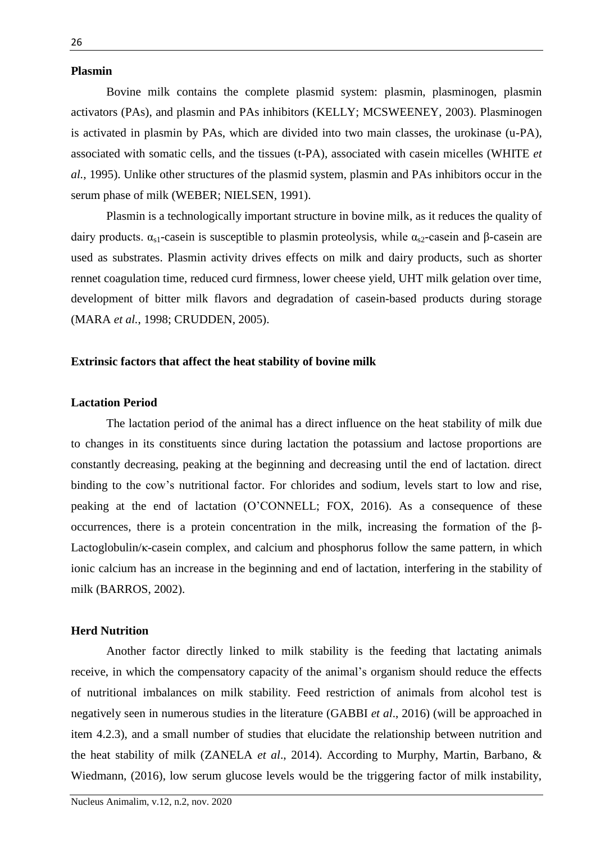#### **Plasmin**

Bovine milk contains the complete plasmid system: plasmin, plasminogen, plasmin activators (PAs), and plasmin and PAs inhibitors (KELLY; MCSWEENEY, 2003). Plasminogen is activated in plasmin by PAs, which are divided into two main classes, the urokinase (u-PA), associated with somatic cells, and the tissues (t-PA), associated with casein micelles (WHITE *et al.*, 1995). Unlike other structures of the plasmid system, plasmin and PAs inhibitors occur in the serum phase of milk (WEBER; NIELSEN, 1991).

Plasmin is a technologically important structure in bovine milk, as it reduces the quality of dairy products.  $\alpha_{s1}$ -casein is susceptible to plasmin proteolysis, while  $\alpha_{s2}$ -casein and β-casein are used as substrates. Plasmin activity drives effects on milk and dairy products, such as shorter rennet coagulation time, reduced curd firmness, lower cheese yield, UHT milk gelation over time, development of bitter milk flavors and degradation of casein-based products during storage (MARA *et al.*, 1998; CRUDDEN, 2005).

#### **Extrinsic factors that affect the heat stability of bovine milk**

## **Lactation Period**

The lactation period of the animal has a direct influence on the heat stability of milk due to changes in its constituents since during lactation the potassium and lactose proportions are constantly decreasing, peaking at the beginning and decreasing until the end of lactation. direct binding to the cow's nutritional factor. For chlorides and sodium, levels start to low and rise, peaking at the end of lactation (O'CONNELL; FOX, 2016). As a consequence of these occurrences, there is a protein concentration in the milk, increasing the formation of the β-Lactoglobulin/κ-casein complex, and calcium and phosphorus follow the same pattern, in which ionic calcium has an increase in the beginning and end of lactation, interfering in the stability of milk (BARROS, 2002).

### **Herd Nutrition**

Another factor directly linked to milk stability is the feeding that lactating animals receive, in which the compensatory capacity of the animal's organism should reduce the effects of nutritional imbalances on milk stability. Feed restriction of animals from alcohol test is negatively seen in numerous studies in the literature (GABBI *et al*., 2016) (will be approached in item 4.2.3), and a small number of studies that elucidate the relationship between nutrition and the heat stability of milk (ZANELA *et al*., 2014). According to Murphy, Martin, Barbano, & Wiedmann, (2016), low serum glucose levels would be the triggering factor of milk instability,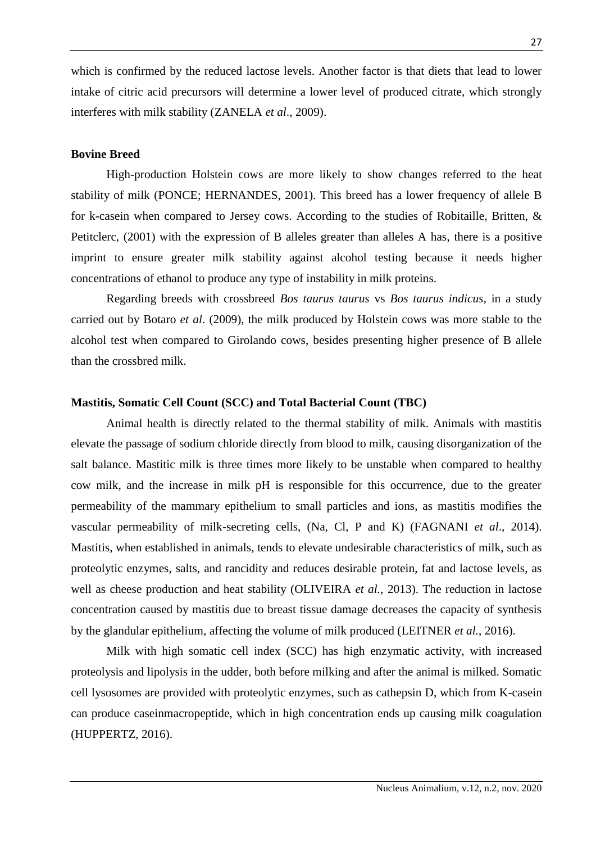which is confirmed by the reduced lactose levels. Another factor is that diets that lead to lower intake of citric acid precursors will determine a lower level of produced citrate, which strongly interferes with milk stability (ZANELA *et al*., 2009).

### **Bovine Breed**

High-production Holstein cows are more likely to show changes referred to the heat stability of milk (PONCE; HERNANDES, 2001). This breed has a lower frequency of allele B for k-casein when compared to Jersey cows. According to the studies of Robitaille, Britten, & Petitclerc, (2001) with the expression of B alleles greater than alleles A has, there is a positive imprint to ensure greater milk stability against alcohol testing because it needs higher concentrations of ethanol to produce any type of instability in milk proteins.

Regarding breeds with crossbreed *Bos taurus taurus* vs *Bos taurus indicus*, in a study carried out by Botaro *et al*. (2009), the milk produced by Holstein cows was more stable to the alcohol test when compared to Girolando cows, besides presenting higher presence of B allele than the crossbred milk.

## **Mastitis, Somatic Cell Count (SCC) and Total Bacterial Count (TBC)**

Animal health is directly related to the thermal stability of milk. Animals with mastitis elevate the passage of sodium chloride directly from blood to milk, causing disorganization of the salt balance. Mastitic milk is three times more likely to be unstable when compared to healthy cow milk, and the increase in milk pH is responsible for this occurrence, due to the greater permeability of the mammary epithelium to small particles and ions, as mastitis modifies the vascular permeability of milk-secreting cells, (Na, Cl, P and K) (FAGNANI *et al*., 2014). Mastitis, when established in animals, tends to elevate undesirable characteristics of milk, such as proteolytic enzymes, salts, and rancidity and reduces desirable protein, fat and lactose levels, as well as cheese production and heat stability (OLIVEIRA *et al.*, 2013). The reduction in lactose concentration caused by mastitis due to breast tissue damage decreases the capacity of synthesis by the glandular epithelium, affecting the volume of milk produced (LEITNER *et al.*, 2016).

Milk with high somatic cell index (SCC) has high enzymatic activity, with increased proteolysis and lipolysis in the udder, both before milking and after the animal is milked. Somatic cell lysosomes are provided with proteolytic enzymes, such as cathepsin D, which from K-casein can produce caseinmacropeptide, which in high concentration ends up causing milk coagulation (HUPPERTZ, 2016).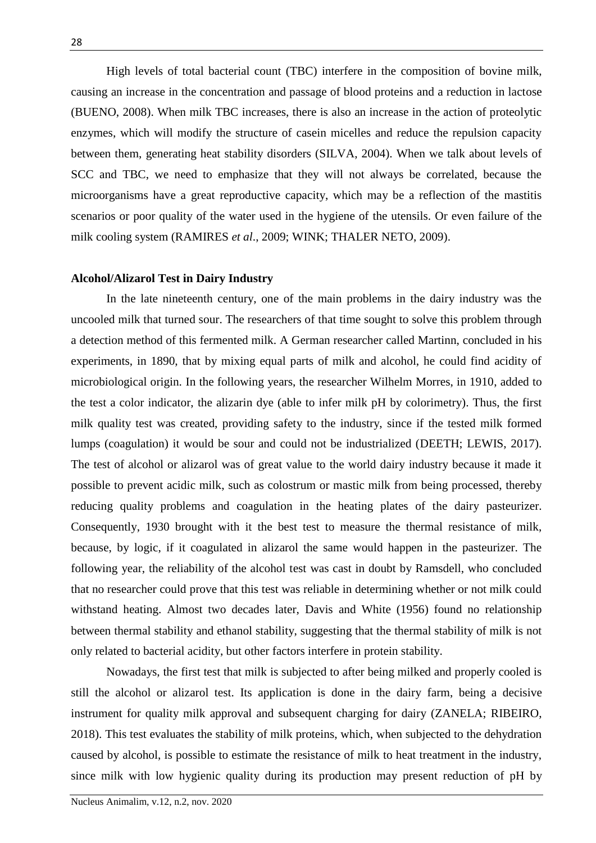High levels of total bacterial count (TBC) interfere in the composition of bovine milk, causing an increase in the concentration and passage of blood proteins and a reduction in lactose (BUENO, 2008). When milk TBC increases, there is also an increase in the action of proteolytic enzymes, which will modify the structure of casein micelles and reduce the repulsion capacity between them, generating heat stability disorders (SILVA, 2004). When we talk about levels of SCC and TBC, we need to emphasize that they will not always be correlated, because the microorganisms have a great reproductive capacity, which may be a reflection of the mastitis scenarios or poor quality of the water used in the hygiene of the utensils. Or even failure of the milk cooling system (RAMIRES *et al*., 2009; WINK; THALER NETO, 2009).

### **Alcohol/Alizarol Test in Dairy Industry**

In the late nineteenth century, one of the main problems in the dairy industry was the uncooled milk that turned sour. The researchers of that time sought to solve this problem through a detection method of this fermented milk. A German researcher called Martinn, concluded in his experiments, in 1890, that by mixing equal parts of milk and alcohol, he could find acidity of microbiological origin. In the following years, the researcher Wilhelm Morres, in 1910, added to the test a color indicator, the alizarin dye (able to infer milk pH by colorimetry). Thus, the first milk quality test was created, providing safety to the industry, since if the tested milk formed lumps (coagulation) it would be sour and could not be industrialized (DEETH; LEWIS, 2017). The test of alcohol or alizarol was of great value to the world dairy industry because it made it possible to prevent acidic milk, such as colostrum or mastic milk from being processed, thereby reducing quality problems and coagulation in the heating plates of the dairy pasteurizer. Consequently, 1930 brought with it the best test to measure the thermal resistance of milk, because, by logic, if it coagulated in alizarol the same would happen in the pasteurizer. The following year, the reliability of the alcohol test was cast in doubt by Ramsdell, who concluded that no researcher could prove that this test was reliable in determining whether or not milk could withstand heating. Almost two decades later, Davis and White (1956) found no relationship between thermal stability and ethanol stability, suggesting that the thermal stability of milk is not only related to bacterial acidity, but other factors interfere in protein stability.

Nowadays, the first test that milk is subjected to after being milked and properly cooled is still the alcohol or alizarol test. Its application is done in the dairy farm, being a decisive instrument for quality milk approval and subsequent charging for dairy (ZANELA; RIBEIRO, 2018). This test evaluates the stability of milk proteins, which, when subjected to the dehydration caused by alcohol, is possible to estimate the resistance of milk to heat treatment in the industry, since milk with low hygienic quality during its production may present reduction of pH by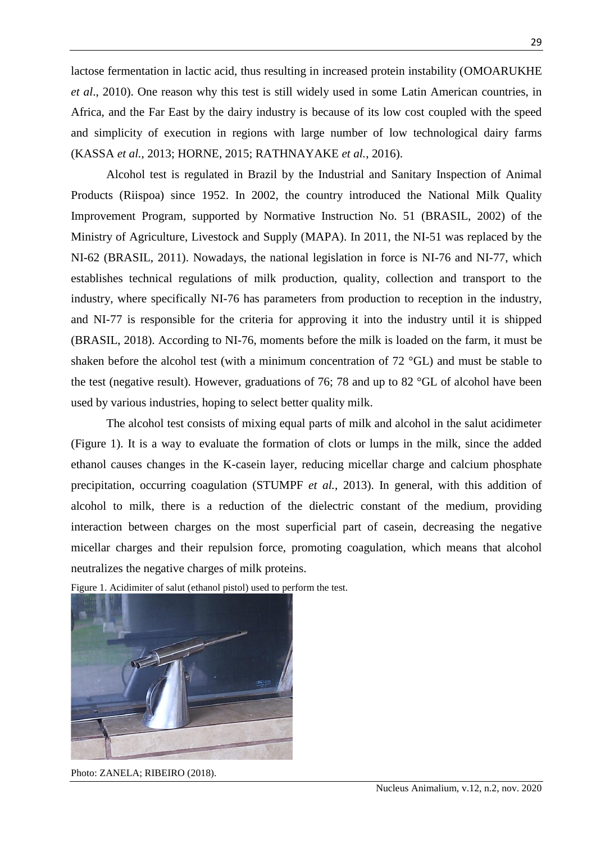lactose fermentation in lactic acid, thus resulting in increased protein instability (OMOARUKHE *et al*., 2010). One reason why this test is still widely used in some Latin American countries, in Africa, and the Far East by the dairy industry is because of its low cost coupled with the speed and simplicity of execution in regions with large number of low technological dairy farms (KASSA *et al.*, 2013; HORNE, 2015; RATHNAYAKE *et al.*, 2016).

Alcohol test is regulated in Brazil by the Industrial and Sanitary Inspection of Animal Products (Riispoa) since 1952. In 2002, the country introduced the National Milk Quality Improvement Program, supported by Normative Instruction No. 51 (BRASIL, 2002) of the Ministry of Agriculture, Livestock and Supply (MAPA). In 2011, the NI-51 was replaced by the NI-62 (BRASIL, 2011). Nowadays, the national legislation in force is NI-76 and NI-77, which establishes technical regulations of milk production, quality, collection and transport to the industry, where specifically NI-76 has parameters from production to reception in the industry, and NI-77 is responsible for the criteria for approving it into the industry until it is shipped (BRASIL, 2018). According to NI-76, moments before the milk is loaded on the farm, it must be shaken before the alcohol test (with a minimum concentration of 72 °GL) and must be stable to the test (negative result). However, graduations of 76; 78 and up to 82 °GL of alcohol have been used by various industries, hoping to select better quality milk.

The alcohol test consists of mixing equal parts of milk and alcohol in the salut acidimeter (Figure 1). It is a way to evaluate the formation of clots or lumps in the milk, since the added ethanol causes changes in the K-casein layer, reducing micellar charge and calcium phosphate precipitation, occurring coagulation (STUMPF *et al.*, 2013). In general, with this addition of alcohol to milk, there is a reduction of the dielectric constant of the medium, providing interaction between charges on the most superficial part of casein, decreasing the negative micellar charges and their repulsion force, promoting coagulation, which means that alcohol neutralizes the negative charges of milk proteins.

Figure 1. Acidimiter of salut (ethanol pistol) used to perform the test.



Photo: ZANELA; RIBEIRO (2018).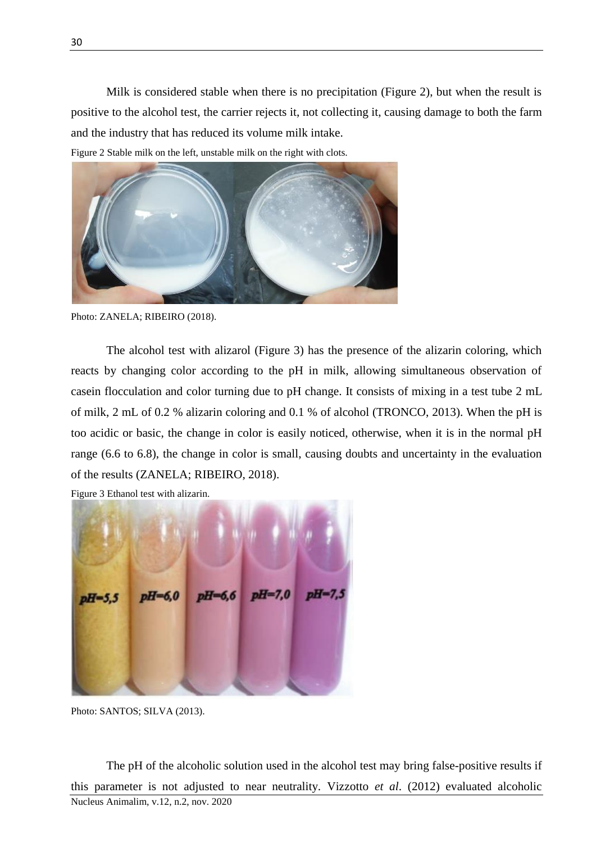Milk is considered stable when there is no precipitation (Figure 2), but when the result is positive to the alcohol test, the carrier rejects it, not collecting it, causing damage to both the farm and the industry that has reduced its volume milk intake.

Figure 2 Stable milk on the left, unstable milk on the right with clots.



Photo: ZANELA; RIBEIRO (2018).

The alcohol test with alizarol (Figure 3) has the presence of the alizarin coloring, which reacts by changing color according to the pH in milk, allowing simultaneous observation of casein flocculation and color turning due to pH change. It consists of mixing in a test tube 2 mL of milk, 2 mL of 0.2 % alizarin coloring and 0.1 % of alcohol (TRONCO, 2013). When the pH is too acidic or basic, the change in color is easily noticed, otherwise, when it is in the normal pH range (6.6 to 6.8), the change in color is small, causing doubts and uncertainty in the evaluation of the results (ZANELA; RIBEIRO, 2018).

Figure 3 Ethanol test with alizarin.

 $pH=7.0$ pH $pH = 6.6$ 

Photo: SANTOS; SILVA (2013).

Nucleus Animalim, v.12, n.2, nov. 2020 The pH of the alcoholic solution used in the alcohol test may bring false-positive results if this parameter is not adjusted to near neutrality. Vizzotto *et al*. (2012) evaluated alcoholic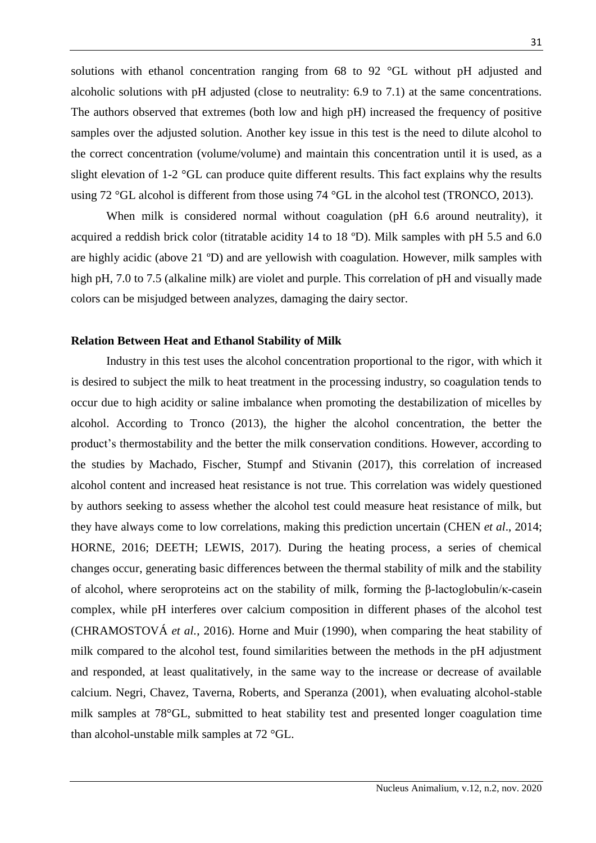solutions with ethanol concentration ranging from 68 to 92 °GL without pH adjusted and alcoholic solutions with pH adjusted (close to neutrality: 6.9 to 7.1) at the same concentrations. The authors observed that extremes (both low and high pH) increased the frequency of positive samples over the adjusted solution. Another key issue in this test is the need to dilute alcohol to the correct concentration (volume/volume) and maintain this concentration until it is used, as a slight elevation of 1-2 °GL can produce quite different results. This fact explains why the results using 72 °GL alcohol is different from those using 74 °GL in the alcohol test (TRONCO, 2013).

When milk is considered normal without coagulation (pH 6.6 around neutrality), it acquired a reddish brick color (titratable acidity 14 to 18 ºD). Milk samples with pH 5.5 and 6.0 are highly acidic (above 21 ºD) and are yellowish with coagulation. However, milk samples with high pH, 7.0 to 7.5 (alkaline milk) are violet and purple. This correlation of pH and visually made colors can be misjudged between analyzes, damaging the dairy sector.

### **Relation Between Heat and Ethanol Stability of Milk**

Industry in this test uses the alcohol concentration proportional to the rigor, with which it is desired to subject the milk to heat treatment in the processing industry, so coagulation tends to occur due to high acidity or saline imbalance when promoting the destabilization of micelles by alcohol. According to Tronco (2013), the higher the alcohol concentration, the better the product's thermostability and the better the milk conservation conditions. However, according to the studies by Machado, Fischer, Stumpf and Stivanin (2017), this correlation of increased alcohol content and increased heat resistance is not true. This correlation was widely questioned by authors seeking to assess whether the alcohol test could measure heat resistance of milk, but they have always come to low correlations, making this prediction uncertain (CHEN *et al*., 2014; HORNE, 2016; DEETH; LEWIS, 2017). During the heating process, a series of chemical changes occur, generating basic differences between the thermal stability of milk and the stability of alcohol, where seroproteins act on the stability of milk, forming the β-lactoglobulin/κ-casein complex, while pH interferes over calcium composition in different phases of the alcohol test (CHRAMOSTOVÁ *et al.*, 2016). Horne and Muir (1990), when comparing the heat stability of milk compared to the alcohol test, found similarities between the methods in the pH adjustment and responded, at least qualitatively, in the same way to the increase or decrease of available calcium. Negri, Chavez, Taverna, Roberts, and Speranza (2001), when evaluating alcohol-stable milk samples at 78°GL, submitted to heat stability test and presented longer coagulation time than alcohol-unstable milk samples at 72 °GL.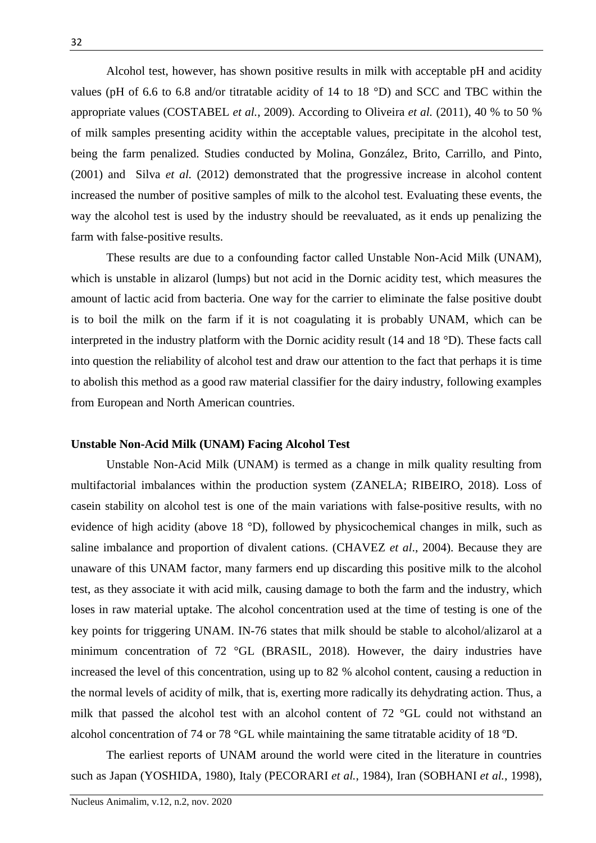Alcohol test, however, has shown positive results in milk with acceptable pH and acidity values (pH of 6.6 to 6.8 and/or titratable acidity of 14 to 18 °D) and SCC and TBC within the appropriate values (COSTABEL *et al.*, 2009). According to Oliveira *et al.* (2011), 40 % to 50 % of milk samples presenting acidity within the acceptable values, precipitate in the alcohol test, being the farm penalized. Studies conducted by Molina, González, Brito, Carrillo, and Pinto, (2001) and Silva *et al.* (2012) demonstrated that the progressive increase in alcohol content increased the number of positive samples of milk to the alcohol test. Evaluating these events, the way the alcohol test is used by the industry should be reevaluated, as it ends up penalizing the farm with false-positive results.

These results are due to a confounding factor called Unstable Non-Acid Milk (UNAM), which is unstable in alizarol (lumps) but not acid in the Dornic acidity test, which measures the amount of lactic acid from bacteria. One way for the carrier to eliminate the false positive doubt is to boil the milk on the farm if it is not coagulating it is probably UNAM, which can be interpreted in the industry platform with the Dornic acidity result (14 and 18 °D). These facts call into question the reliability of alcohol test and draw our attention to the fact that perhaps it is time to abolish this method as a good raw material classifier for the dairy industry, following examples from European and North American countries.

## **Unstable Non-Acid Milk (UNAM) Facing Alcohol Test**

Unstable Non-Acid Milk (UNAM) is termed as a change in milk quality resulting from multifactorial imbalances within the production system (ZANELA; RIBEIRO, 2018). Loss of casein stability on alcohol test is one of the main variations with false-positive results, with no evidence of high acidity (above 18 °D), followed by physicochemical changes in milk, such as saline imbalance and proportion of divalent cations. (CHAVEZ *et al*., 2004). Because they are unaware of this UNAM factor, many farmers end up discarding this positive milk to the alcohol test, as they associate it with acid milk, causing damage to both the farm and the industry, which loses in raw material uptake. The alcohol concentration used at the time of testing is one of the key points for triggering UNAM. IN-76 states that milk should be stable to alcohol/alizarol at a minimum concentration of 72 °GL (BRASIL, 2018). However, the dairy industries have increased the level of this concentration, using up to 82 % alcohol content, causing a reduction in the normal levels of acidity of milk, that is, exerting more radically its dehydrating action. Thus, a milk that passed the alcohol test with an alcohol content of 72 °GL could not withstand an alcohol concentration of 74 or 78 °GL while maintaining the same titratable acidity of 18 ºD.

The earliest reports of UNAM around the world were cited in the literature in countries such as Japan (YOSHIDA, 1980), Italy (PECORARI *et al.*, 1984), Iran (SOBHANI *et al.*, 1998),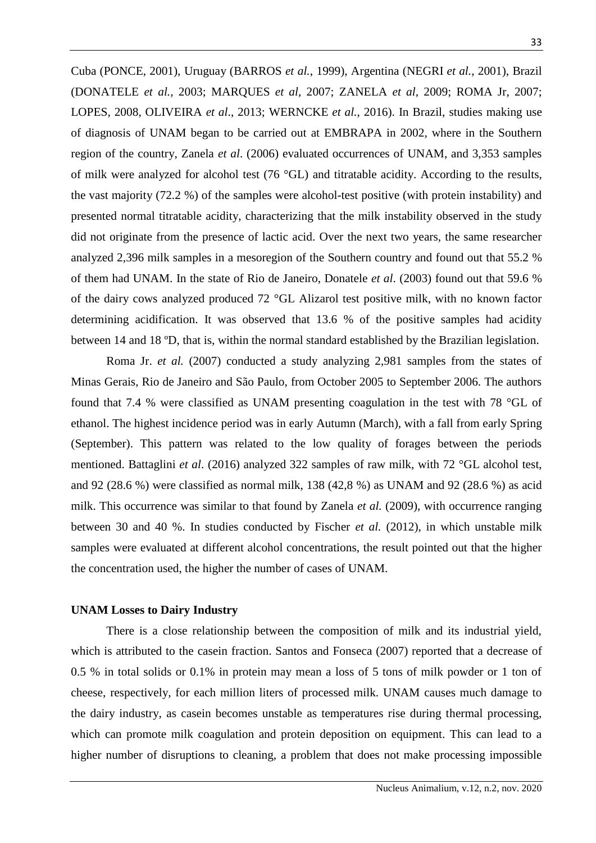Cuba (PONCE, 2001), Uruguay (BARROS *et al.*, 1999), Argentina (NEGRI *et al.*, 2001), Brazil (DONATELE *et al.*, 2003; MARQUES *et al*, 2007; ZANELA *et al*, 2009; ROMA Jr, 2007; LOPES, 2008, OLIVEIRA *et al*., 2013; WERNCKE *et al.*, 2016). In Brazil, studies making use of diagnosis of UNAM began to be carried out at EMBRAPA in 2002, where in the Southern region of the country, Zanela *et al*. (2006) evaluated occurrences of UNAM, and 3,353 samples of milk were analyzed for alcohol test (76 °GL) and titratable acidity. According to the results, the vast majority (72.2 %) of the samples were alcohol-test positive (with protein instability) and presented normal titratable acidity, characterizing that the milk instability observed in the study did not originate from the presence of lactic acid. Over the next two years, the same researcher analyzed 2,396 milk samples in a mesoregion of the Southern country and found out that 55.2 % of them had UNAM. In the state of Rio de Janeiro, Donatele *et al*. (2003) found out that 59.6 % of the dairy cows analyzed produced 72 °GL Alizarol test positive milk, with no known factor determining acidification. It was observed that 13.6 % of the positive samples had acidity between 14 and 18 ºD, that is, within the normal standard established by the Brazilian legislation.

Roma Jr. *et al.* (2007) conducted a study analyzing 2,981 samples from the states of Minas Gerais, Rio de Janeiro and São Paulo, from October 2005 to September 2006. The authors found that 7.4 % were classified as UNAM presenting coagulation in the test with 78 °GL of ethanol. The highest incidence period was in early Autumn (March), with a fall from early Spring (September). This pattern was related to the low quality of forages between the periods mentioned. Battaglini *et al*. (2016) analyzed 322 samples of raw milk, with 72 °GL alcohol test, and 92 (28.6 %) were classified as normal milk, 138 (42,8 %) as UNAM and 92 (28.6 %) as acid milk. This occurrence was similar to that found by Zanela *et al.* (2009), with occurrence ranging between 30 and 40 %. In studies conducted by Fischer *et al.* (2012), in which unstable milk samples were evaluated at different alcohol concentrations, the result pointed out that the higher the concentration used, the higher the number of cases of UNAM.

#### **UNAM Losses to Dairy Industry**

There is a close relationship between the composition of milk and its industrial yield, which is attributed to the casein fraction. Santos and Fonseca (2007) reported that a decrease of 0.5 % in total solids or 0.1% in protein may mean a loss of 5 tons of milk powder or 1 ton of cheese, respectively, for each million liters of processed milk. UNAM causes much damage to the dairy industry, as casein becomes unstable as temperatures rise during thermal processing, which can promote milk coagulation and protein deposition on equipment. This can lead to a higher number of disruptions to cleaning, a problem that does not make processing impossible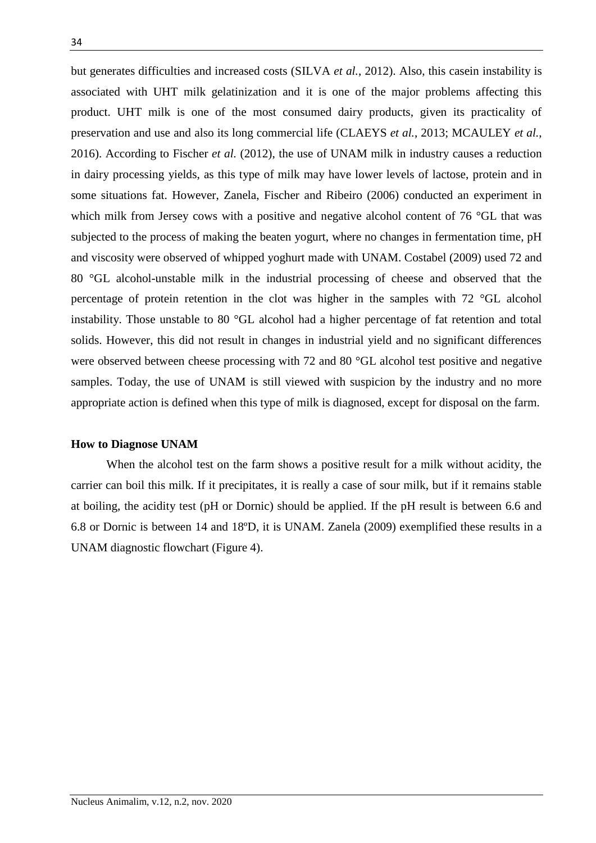but generates difficulties and increased costs (SILVA *et al.*, 2012). Also, this casein instability is associated with UHT milk gelatinization and it is one of the major problems affecting this product. UHT milk is one of the most consumed dairy products, given its practicality of preservation and use and also its long commercial life (CLAEYS *et al.*, 2013; MCAULEY *et al.*, 2016). According to Fischer *et al.* (2012), the use of UNAM milk in industry causes a reduction in dairy processing yields, as this type of milk may have lower levels of lactose, protein and in some situations fat. However, Zanela, Fischer and Ribeiro (2006) conducted an experiment in which milk from Jersey cows with a positive and negative alcohol content of 76 °GL that was subjected to the process of making the beaten yogurt, where no changes in fermentation time, pH and viscosity were observed of whipped yoghurt made with UNAM. Costabel (2009) used 72 and 80 °GL alcohol-unstable milk in the industrial processing of cheese and observed that the percentage of protein retention in the clot was higher in the samples with 72 °GL alcohol instability. Those unstable to 80 °GL alcohol had a higher percentage of fat retention and total solids. However, this did not result in changes in industrial yield and no significant differences were observed between cheese processing with 72 and 80 °GL alcohol test positive and negative samples. Today, the use of UNAM is still viewed with suspicion by the industry and no more appropriate action is defined when this type of milk is diagnosed, except for disposal on the farm.

#### **How to Diagnose UNAM**

When the alcohol test on the farm shows a positive result for a milk without acidity, the carrier can boil this milk. If it precipitates, it is really a case of sour milk, but if it remains stable at boiling, the acidity test (pH or Dornic) should be applied. If the pH result is between 6.6 and 6.8 or Dornic is between 14 and 18ºD, it is UNAM. Zanela (2009) exemplified these results in a UNAM diagnostic flowchart (Figure 4).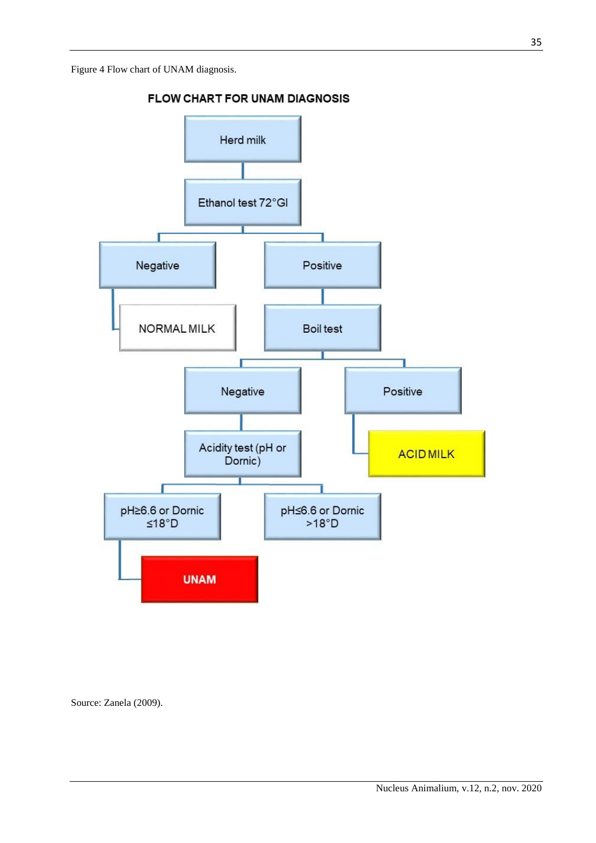Figure 4 Flow chart of UNAM diagnosis.



FLOW CHART FOR UNAM DIAGNOSIS

Source: Zanela (2009).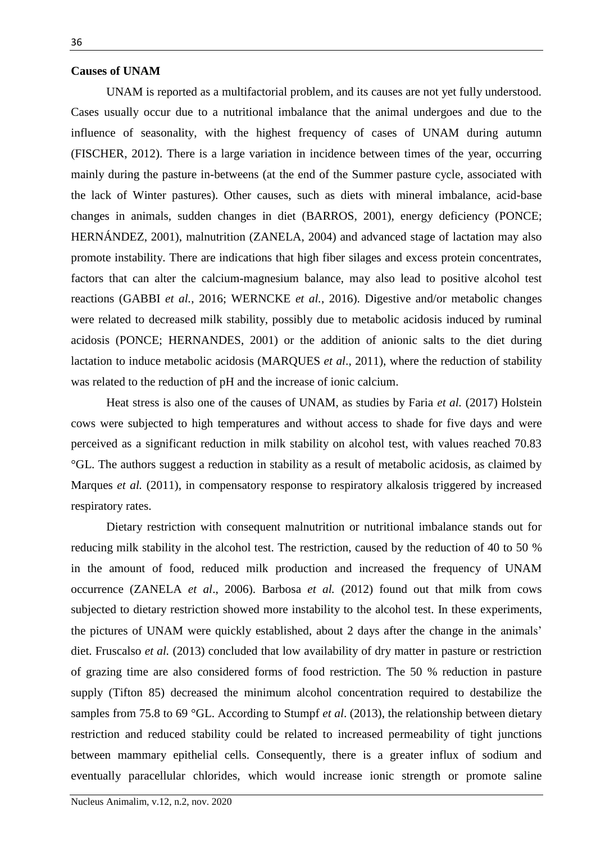## **Causes of UNAM**

UNAM is reported as a multifactorial problem, and its causes are not yet fully understood. Cases usually occur due to a nutritional imbalance that the animal undergoes and due to the influence of seasonality, with the highest frequency of cases of UNAM during autumn (FISCHER, 2012). There is a large variation in incidence between times of the year, occurring mainly during the pasture in-betweens (at the end of the Summer pasture cycle, associated with the lack of Winter pastures). Other causes, such as diets with mineral imbalance, acid-base changes in animals, sudden changes in diet (BARROS, 2001), energy deficiency (PONCE; HERNÁNDEZ, 2001), malnutrition (ZANELA, 2004) and advanced stage of lactation may also promote instability. There are indications that high fiber silages and excess protein concentrates, factors that can alter the calcium-magnesium balance, may also lead to positive alcohol test reactions (GABBI *et al.*, 2016; WERNCKE *et al.*, 2016). Digestive and/or metabolic changes were related to decreased milk stability, possibly due to metabolic acidosis induced by ruminal acidosis (PONCE; HERNANDES, 2001) or the addition of anionic salts to the diet during lactation to induce metabolic acidosis (MARQUES *et al*., 2011), where the reduction of stability was related to the reduction of pH and the increase of ionic calcium.

Heat stress is also one of the causes of UNAM, as studies by Faria *et al.* (2017) Holstein cows were subjected to high temperatures and without access to shade for five days and were perceived as a significant reduction in milk stability on alcohol test, with values reached 70.83 °GL. The authors suggest a reduction in stability as a result of metabolic acidosis, as claimed by Marques *et al.* (2011), in compensatory response to respiratory alkalosis triggered by increased respiratory rates.

Dietary restriction with consequent malnutrition or nutritional imbalance stands out for reducing milk stability in the alcohol test. The restriction, caused by the reduction of 40 to 50 % in the amount of food, reduced milk production and increased the frequency of UNAM occurrence (ZANELA *et al*., 2006). Barbosa *et al.* (2012) found out that milk from cows subjected to dietary restriction showed more instability to the alcohol test. In these experiments, the pictures of UNAM were quickly established, about 2 days after the change in the animals' diet. Fruscalso *et al.* (2013) concluded that low availability of dry matter in pasture or restriction of grazing time are also considered forms of food restriction. The 50 % reduction in pasture supply (Tifton 85) decreased the minimum alcohol concentration required to destabilize the samples from 75.8 to 69 °GL. According to Stumpf *et al*. (2013), the relationship between dietary restriction and reduced stability could be related to increased permeability of tight junctions between mammary epithelial cells. Consequently, there is a greater influx of sodium and eventually paracellular chlorides, which would increase ionic strength or promote saline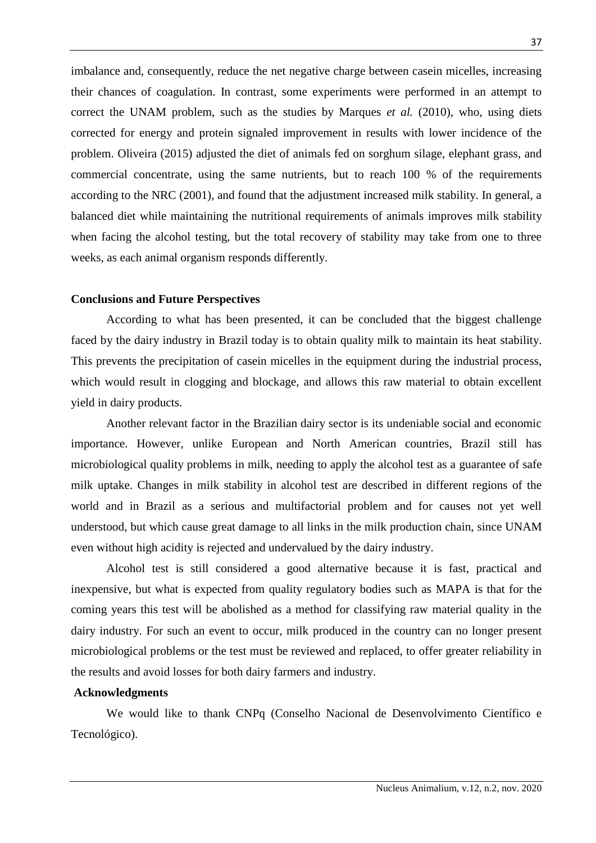imbalance and, consequently, reduce the net negative charge between casein micelles, increasing their chances of coagulation. In contrast, some experiments were performed in an attempt to correct the UNAM problem, such as the studies by Marques *et al.* (2010), who, using diets corrected for energy and protein signaled improvement in results with lower incidence of the problem. Oliveira (2015) adjusted the diet of animals fed on sorghum silage, elephant grass, and commercial concentrate, using the same nutrients, but to reach 100 % of the requirements according to the NRC (2001), and found that the adjustment increased milk stability. In general, a balanced diet while maintaining the nutritional requirements of animals improves milk stability when facing the alcohol testing, but the total recovery of stability may take from one to three weeks, as each animal organism responds differently.

## **Conclusions and Future Perspectives**

According to what has been presented, it can be concluded that the biggest challenge faced by the dairy industry in Brazil today is to obtain quality milk to maintain its heat stability. This prevents the precipitation of casein micelles in the equipment during the industrial process, which would result in clogging and blockage, and allows this raw material to obtain excellent yield in dairy products.

Another relevant factor in the Brazilian dairy sector is its undeniable social and economic importance. However, unlike European and North American countries, Brazil still has microbiological quality problems in milk, needing to apply the alcohol test as a guarantee of safe milk uptake. Changes in milk stability in alcohol test are described in different regions of the world and in Brazil as a serious and multifactorial problem and for causes not yet well understood, but which cause great damage to all links in the milk production chain, since UNAM even without high acidity is rejected and undervalued by the dairy industry.

Alcohol test is still considered a good alternative because it is fast, practical and inexpensive, but what is expected from quality regulatory bodies such as MAPA is that for the coming years this test will be abolished as a method for classifying raw material quality in the dairy industry. For such an event to occur, milk produced in the country can no longer present microbiological problems or the test must be reviewed and replaced, to offer greater reliability in the results and avoid losses for both dairy farmers and industry.

## **Acknowledgments**

We would like to thank CNPq (Conselho Nacional de Desenvolvimento Científico e Tecnológico).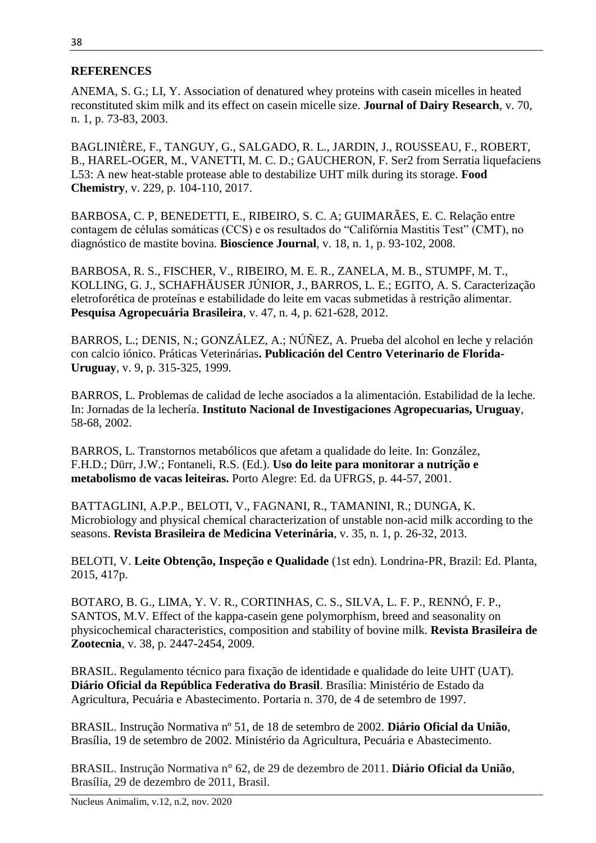## **REFERENCES**

ANEMA, S. G.; LI, Y. Association of denatured whey proteins with casein micelles in heated reconstituted skim milk and its effect on casein micelle size. **Journal of Dairy Research**, v. 70, n. 1, p. 73-83, 2003.

BAGLINIÈRE, F., TANGUY, G., SALGADO, R. L., JARDIN, J., ROUSSEAU, F., ROBERT, B., HAREL-OGER, M., VANETTI, M. C. D.; GAUCHERON, F. Ser2 from Serratia liquefaciens L53: A new heat-stable protease able to destabilize UHT milk during its storage. **Food Chemistry**, v. 229, p. 104-110, 2017.

BARBOSA, C. P, BENEDETTI, E., RIBEIRO, S. C. A; GUIMARÃES, E. C. Relação entre contagem de células somáticas (CCS) e os resultados do "Califórnia Mastitis Test" (CMT), no diagnóstico de mastite bovina. **Bioscience Journal**, v. 18, n. 1, p. 93-102, 2008.

BARBOSA, R. S., FISCHER, V., RIBEIRO, M. E. R., ZANELA, M. B., STUMPF, M. T., KOLLING, G. J., SCHAFHÄUSER JÚNIOR, J., BARROS, L. E.; EGITO, A. S. Caracterização eletroforética de proteínas e estabilidade do leite em vacas submetidas à restrição alimentar. **Pesquisa Agropecuária Brasileira**, v. 47, n. 4, p. 621-628, 2012.

BARROS, L.; DENIS, N.; GONZÁLEZ, A.; NÚÑEZ, A. Prueba del alcohol en leche y relación con calcio iónico. Práticas Veterinárias**. Publicación del Centro Veterinario de Florida-Uruguay**, v. 9, p. 315-325, 1999.

BARROS, L. Problemas de calidad de leche asociados a la alimentación. Estabilidad de la leche. In: Jornadas de la lechería. **Instituto Nacional de Investigaciones Agropecuarias, Uruguay**, 58-68, 2002.

BARROS, L. Transtornos metabólicos que afetam a qualidade do leite. In: González, F.H.D.; Dürr, J.W.; Fontaneli, R.S. (Ed.). **Uso do leite para monitorar a nutrição e metabolismo de vacas leiteiras.** Porto Alegre: Ed. da UFRGS, p. 44-57, 2001.

BATTAGLINI, A.P.P., BELOTI, V., FAGNANI, R., TAMANINI, R.; DUNGA, K. Microbiology and physical chemical characterization of unstable non-acid milk according to the seasons. **Revista Brasileira de Medicina Veterinária**, v. 35, n. 1, p. 26-32, 2013.

BELOTI, V. **Leite Obtenção, Inspeção e Qualidade** (1st edn). Londrina-PR, Brazil: Ed. Planta, 2015, 417p.

BOTARO, B. G., LIMA, Y. V. R., CORTINHAS, C. S., SILVA, L. F. P., RENNÓ, F. P., SANTOS, M.V. Effect of the kappa-casein gene polymorphism, breed and seasonality on physicochemical characteristics, composition and stability of bovine milk. **Revista Brasileira de Zootecnia**, v. 38, p. 2447-2454, 2009.

BRASIL. Regulamento técnico para fixação de identidade e qualidade do leite UHT (UAT). **Diário Oficial da República Federativa do Brasil**. Brasília: Ministério de Estado da Agricultura, Pecuária e Abastecimento. Portaria n. 370, de 4 de setembro de 1997.

BRASIL. Instrução Normativa nº 51, de 18 de setembro de 2002. **Diário Oficial da União**, Brasília, 19 de setembro de 2002. Ministério da Agricultura, Pecuária e Abastecimento.

BRASIL. Instrução Normativa n° 62, de 29 de dezembro de 2011. **Diário Oficial da União**, Brasília, 29 de dezembro de 2011, Brasil.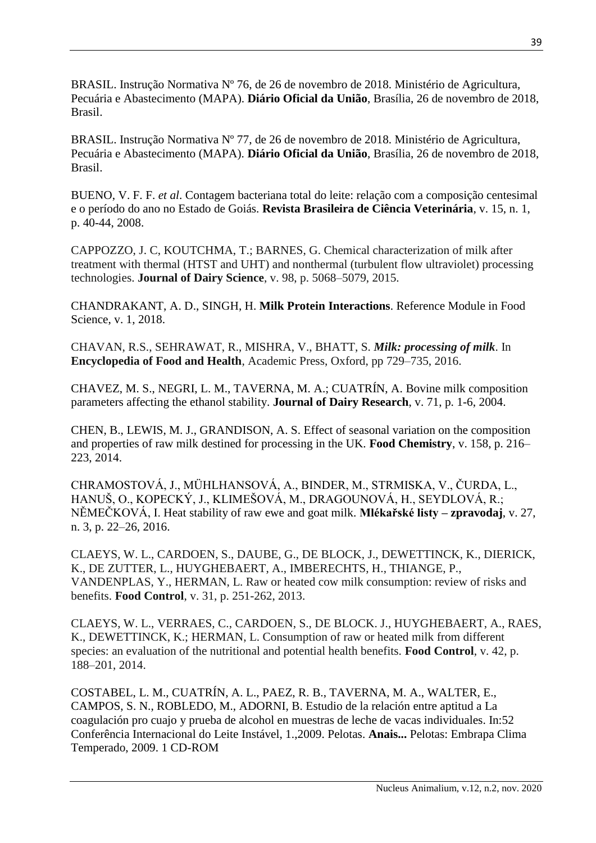BRASIL. Instrução Normativa Nº 76, de 26 de novembro de 2018. Ministério de Agricultura, Pecuária e Abastecimento (MAPA). **Diário Oficial da União**, Brasília, 26 de novembro de 2018, Brasil.

BRASIL. Instrução Normativa Nº 77, de 26 de novembro de 2018. Ministério de Agricultura, Pecuária e Abastecimento (MAPA). **Diário Oficial da União**, Brasília, 26 de novembro de 2018, Brasil.

BUENO, V. F. F. *et al*. Contagem bacteriana total do leite: relação com a composição centesimal e o período do ano no Estado de Goiás. **Revista Brasileira de Ciência Veterinária**, v. 15, n. 1, p. 40-44, 2008.

CAPPOZZO, J. C, KOUTCHMA, T.; BARNES, G. Chemical characterization of milk after treatment with thermal (HTST and UHT) and nonthermal (turbulent flow ultraviolet) processing technologies. **Journal of Dairy Science**, v. 98, p. 5068–5079, 2015.

CHANDRAKANT, A. D., SINGH, H. **Milk Protein Interactions**. Reference Module in Food Science, v. 1, 2018.

CHAVAN, R.S., SEHRAWAT, R., MISHRA, V., BHATT, S. *Milk: processing of milk*. In **Encyclopedia of Food and Health**, Academic Press, Oxford, pp 729–735, 2016.

CHAVEZ, M. S., NEGRI, L. M., TAVERNA, M. A.; CUATRÍN, A. Bovine milk composition parameters affecting the ethanol stability. **Journal of Dairy Research**, v. 71, p. 1-6, 2004.

CHEN, B., LEWIS, M. J., GRANDISON, A. S. Effect of seasonal variation on the composition and properties of raw milk destined for processing in the UK. **Food Chemistry**, v. 158, p. 216– 223, 2014.

CHRAMOSTOVÁ, J., MÜHLHANSOVÁ, A., BINDER, M., STRMISKA, V., ČURDA, L., HANUŠ, O., KOPECKÝ, J., KLIMEŠOVÁ, M., DRAGOUNOVÁ, H., SEYDLOVÁ, R.; NĚMEČKOVÁ, I. Heat stability of raw ewe and goat milk. **Mlékařské listy – zpravodaj**, v. 27, n. 3, p. 22–26, 2016.

CLAEYS, W. L., CARDOEN, S., DAUBE, G., DE BLOCK, J., DEWETTINCK, K., DIERICK, K., DE ZUTTER, L., HUYGHEBAERT, A., IMBERECHTS, H., THIANGE, P., VANDENPLAS, Y., HERMAN, L. Raw or heated cow milk consumption: review of risks and benefits. **Food Control**, v. 31, p. 251-262, 2013.

CLAEYS, W. L., VERRAES, C., CARDOEN, S., DE BLOCK. J., HUYGHEBAERT, A., RAES, K., DEWETTINCK, K.; HERMAN, L. Consumption of raw or heated milk from different species: an evaluation of the nutritional and potential health benefits. **Food Control**, v. 42, p. 188–201, 2014.

COSTABEL, L. M., CUATRÍN, A. L., PAEZ, R. B., TAVERNA, M. A., WALTER, E., CAMPOS, S. N., ROBLEDO, M., ADORNI, B. Estudio de la relación entre aptitud a La coagulación pro cuajo y prueba de alcohol en muestras de leche de vacas individuales. In:52 Conferência Internacional do Leite Instável, 1.,2009. Pelotas. **Anais...** Pelotas: Embrapa Clima Temperado, 2009. 1 CD-ROM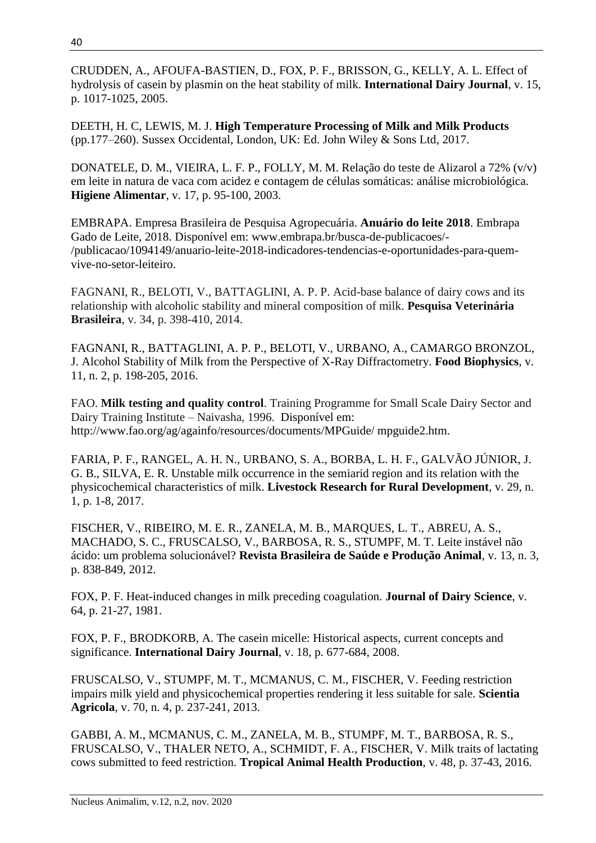CRUDDEN, A., AFOUFA-BASTIEN, D., FOX, P. F., BRISSON, G., KELLY, A. L. Effect of hydrolysis of casein by plasmin on the heat stability of milk. **International Dairy Journal**, v. 15, p. 1017-1025, 2005.

DEETH, H. C, LEWIS, M. J. **High Temperature Processing of Milk and Milk Products** (pp.177–260). Sussex Occidental, London, UK: Ed. John Wiley & Sons Ltd, 2017.

DONATELE, D. M., VIEIRA, L. F. P., FOLLY, M. M. Relação do teste de Alizarol a 72% (v/v) em leite in natura de vaca com acidez e contagem de células somáticas: análise microbiológica. **Higiene Alimentar**, v. 17, p. 95-100, 2003.

EMBRAPA. Empresa Brasileira de Pesquisa Agropecuária. **Anuário do leite 2018**. Embrapa Gado de Leite, 2018. Disponível em: www.embrapa.br/busca-de-publicacoes/- /publicacao/1094149/anuario-leite-2018-indicadores-tendencias-e-oportunidades-para-quemvive-no-setor-leiteiro.

FAGNANI, R., BELOTI, V., BATTAGLINI, A. P. P. Acid-base balance of dairy cows and its relationship with alcoholic stability and mineral composition of milk. **Pesquisa Veterinária Brasileira**, v. 34, p. 398-410, 2014.

FAGNANI, R., BATTAGLINI, A. P. P., BELOTI, V., URBANO, A., CAMARGO BRONZOL, J. Alcohol Stability of Milk from the Perspective of X-Ray Diffractometry. **Food Biophysics**, v. 11, n. 2, p. 198-205, 2016.

FAO. **Milk testing and quality control**. Training Programme for Small Scale Dairy Sector and Dairy Training Institute – Naivasha, 1996. Disponível em: http://www.fao.org/ag/againfo/resources/documents/MPGuide/ mpguide2.htm.

FARIA, P. F., RANGEL, A. H. N., URBANO, S. A., BORBA, L. H. F., GALVÃO JÚNIOR, J. G. B., SILVA, E. R. Unstable milk occurrence in the semiarid region and its relation with the physicochemical characteristics of milk. **Livestock Research for Rural Development**, v. 29, n. 1, p. 1-8, 2017.

FISCHER, V., RIBEIRO, M. E. R., ZANELA, M. B., MARQUES, L. T., ABREU, A. S., MACHADO, S. C., FRUSCALSO, V., BARBOSA, R. S., STUMPF, M. T. Leite instável não ácido: um problema solucionável? **Revista Brasileira de Saúde e Produção Animal**, v. 13, n. 3, p. 838-849, 2012.

FOX, P. F. Heat-induced changes in milk preceding coagulation. **Journal of Dairy Science**, v. 64, p. 21-27, 1981.

FOX, P. F., BRODKORB, A. The casein micelle: Historical aspects, current concepts and significance. **International Dairy Journal**, v. 18, p. 677-684, 2008.

FRUSCALSO, V., STUMPF, M. T., MCMANUS, C. M., FISCHER, V. Feeding restriction impairs milk yield and physicochemical properties rendering it less suitable for sale. **Scientia Agricola**, v. 70, n. 4, p. 237-241, 2013.

GABBI, A. M., MCMANUS, C. M., ZANELA, M. B., STUMPF, M. T., BARBOSA, R. S., FRUSCALSO, V., THALER NETO, A., SCHMIDT, F. A., FISCHER, V. Milk traits of lactating cows submitted to feed restriction. **Tropical Animal Health Production**, v. 48, p. 37-43, 2016.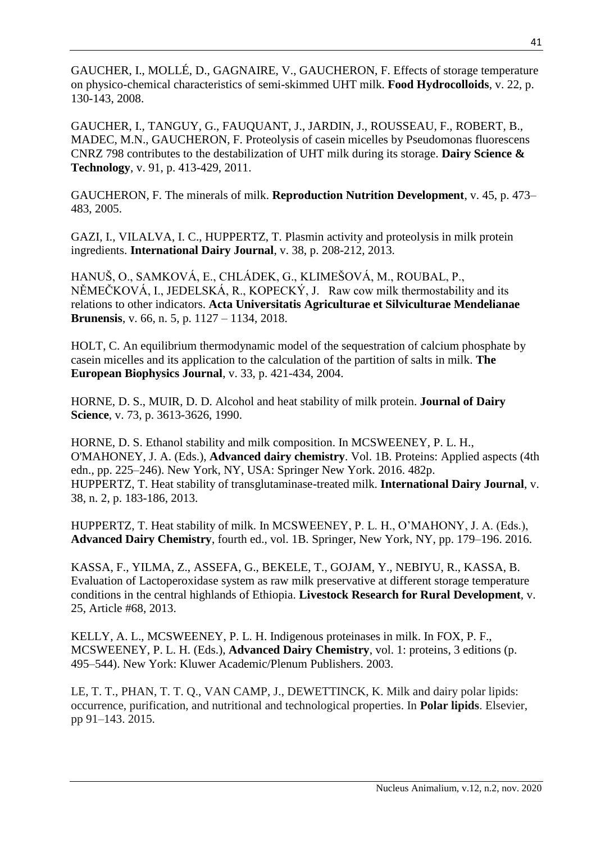GAUCHER, I., MOLLÉ, D., GAGNAIRE, V., GAUCHERON, F. Effects of storage temperature on physico-chemical characteristics of semi-skimmed UHT milk. **Food Hydrocolloids**, v. 22, p. 130-143, 2008.

GAUCHER, I., TANGUY, G., FAUQUANT, J., JARDIN, J., ROUSSEAU, F., ROBERT, B., MADEC, M.N., GAUCHERON, F. Proteolysis of casein micelles by Pseudomonas fluorescens CNRZ 798 contributes to the destabilization of UHT milk during its storage. **Dairy Science & Technology**, v. 91, p. 413-429, 2011.

GAUCHERON, F. The minerals of milk. **Reproduction Nutrition Development**, v. 45, p. 473– 483, 2005.

GAZI, I., VILALVA, I. C., HUPPERTZ, T. Plasmin activity and proteolysis in milk protein ingredients. **International Dairy Journal**, v. 38, p. 208-212, 2013.

HANUŠ, O., SAMKOVÁ, E., CHLÁDEK, G., KLIMEŠOVÁ, M., ROUBAL, P., NĚMEČKOVÁ, I., JEDELSKÁ, R., KOPECKÝ, J. Raw cow milk thermostability and its relations to other indicators. **Acta Universitatis Agriculturae et Silviculturae Mendelianae Brunensis**, v. 66, n. 5, p. 1127 – 1134, 2018.

HOLT, C. An equilibrium thermodynamic model of the sequestration of calcium phosphate by casein micelles and its application to the calculation of the partition of salts in milk. **The European Biophysics Journal**, v. 33, p. 421-434, 2004.

HORNE, D. S., MUIR, D. D. Alcohol and heat stability of milk protein. **Journal of Dairy Science**, v. 73, p. 3613-3626, 1990.

HORNE, D. S. Ethanol stability and milk composition. In MCSWEENEY, P. L. H., O'MAHONEY, J. A. (Eds.), **Advanced dairy chemistry**. Vol. 1B. Proteins: Applied aspects (4th edn., pp. 225–246). New York, NY, USA: Springer New York. 2016. 482p. HUPPERTZ, T. Heat stability of transglutaminase-treated milk. **International Dairy Journal**, v. 38, n. 2, p. 183-186, 2013.

HUPPERTZ, T. Heat stability of milk. In MCSWEENEY, P. L. H., O'MAHONY, J. A. (Eds.), **Advanced Dairy Chemistry**, fourth ed., vol. 1B. Springer, New York, NY, pp. 179–196. 2016.

KASSA, F., YILMA, Z., ASSEFA, G., BEKELE, T., GOJAM, Y., NEBIYU, R., KASSA, B. Evaluation of Lactoperoxidase system as raw milk preservative at different storage temperature conditions in the central highlands of Ethiopia. **Livestock Research for Rural Development**, v. 25, Article #68, 2013.

KELLY, A. L., MCSWEENEY, P. L. H. Indigenous proteinases in milk. In FOX, P. F., MCSWEENEY, P. L. H. (Eds.), **Advanced Dairy Chemistry**, vol. 1: proteins, 3 editions (p. 495–544). New York: Kluwer Academic/Plenum Publishers. 2003.

LE, T. T., PHAN, T. T. Q., VAN CAMP, J., DEWETTINCK, K. Milk and dairy polar lipids: occurrence, purification, and nutritional and technological properties. In **Polar lipids**. Elsevier, pp 91–143. 2015.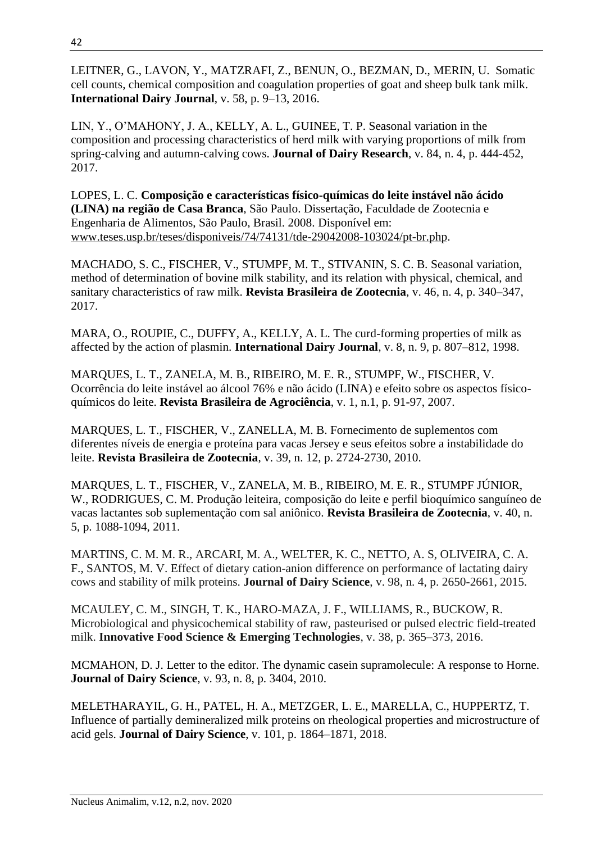LEITNER, G., LAVON, Y., MATZRAFI, Z., BENUN, O., BEZMAN, D., MERIN, U. Somatic cell counts, chemical composition and coagulation properties of goat and sheep bulk tank milk. **International Dairy Journal**, v. 58, p. 9–13, 2016.

LIN, Y., O'MAHONY, J. A., KELLY, A. L., GUINEE, T. P. Seasonal variation in the composition and processing characteristics of herd milk with varying proportions of milk from spring-calving and autumn-calving cows. **Journal of Dairy Research**, v. 84, n. 4, p. 444-452, 2017.

LOPES, L. C. **Composição e características físico-químicas do leite instável não ácido (LINA) na região de Casa Branca**, São Paulo. Dissertação, Faculdade de Zootecnia e Engenharia de Alimentos, São Paulo, Brasil. 2008. Disponível em: [www.teses.usp.br/teses/disponiveis/74/74131/tde-29042008-103024/pt-br.php.](https://www.teses.usp.br/teses/disponiveis/74/74131/tde-29042008-103024/pt-br.php)

MACHADO, S. C., FISCHER, V., STUMPF, M. T., STIVANIN, S. C. B. Seasonal variation, method of determination of bovine milk stability, and its relation with physical, chemical, and sanitary characteristics of raw milk. **Revista Brasileira de Zootecnia**, v. 46, n. 4, p. 340–347, 2017.

MARA, O., ROUPIE, C., DUFFY, A., KELLY, A. L. The curd-forming properties of milk as affected by the action of plasmin. **International Dairy Journal**, v. 8, n. 9, p. 807–812, 1998.

MARQUES, L. T., ZANELA, M. B., RIBEIRO, M. E. R., STUMPF, W., FISCHER, V. Ocorrência do leite instável ao álcool 76% e não ácido (LINA) e efeito sobre os aspectos físicoquímicos do leite. **Revista Brasileira de Agrociência**, v. 1, n.1, p. 91-97, 2007.

MARQUES, L. T., FISCHER, V., ZANELLA, M. B. Fornecimento de suplementos com diferentes níveis de energia e proteína para vacas Jersey e seus efeitos sobre a instabilidade do leite. **Revista Brasileira de Zootecnia**, v. 39, n. 12, p. 2724-2730, 2010.

MARQUES, L. T., FISCHER, V., ZANELA, M. B., RIBEIRO, M. E. R., STUMPF JÚNIOR, W., RODRIGUES, C. M. Produção leiteira, composição do leite e perfil bioquímico sanguíneo de vacas lactantes sob suplementação com sal aniônico. **Revista Brasileira de Zootecnia**, v. 40, n. 5, p. 1088-1094, 2011.

MARTINS, C. M. M. R., ARCARI, M. A., WELTER, K. C., NETTO, A. S, OLIVEIRA, C. A. F., SANTOS, M. V. Effect of dietary cation-anion difference on performance of lactating dairy cows and stability of milk proteins. **Journal of Dairy Science**, v. 98, n. 4, p. 2650-2661, 2015.

MCAULEY, C. M., SINGH, T. K., HARO-MAZA, J. F., WILLIAMS, R., BUCKOW, R. Microbiological and physicochemical stability of raw, pasteurised or pulsed electric field-treated milk. **Innovative Food Science & Emerging Technologies**, v. 38, p. 365–373, 2016.

MCMAHON, D. J. Letter to the editor. The dynamic casein supramolecule: A response to Horne. **Journal of Dairy Science**, v. 93, n. 8, p. 3404, 2010.

MELETHARAYIL, G. H., PATEL, H. A., METZGER, L. E., MARELLA, C., HUPPERTZ, T. Influence of partially demineralized milk proteins on rheological properties and microstructure of acid gels. **Journal of Dairy Science**, v. 101, p. 1864–1871, 2018.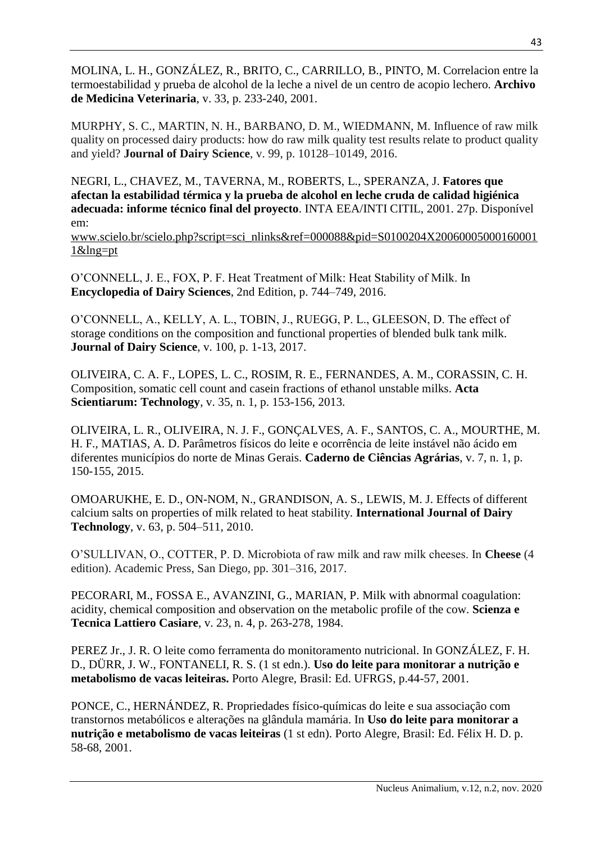MOLINA, L. H., GONZÁLEZ, R., BRITO, C., CARRILLO, B., PINTO, M. Correlacion entre la termoestabilidad y prueba de alcohol de la leche a nivel de un centro de acopio lechero. **Archivo de Medicina Veterinaria**, v. 33, p. 233-240, 2001.

MURPHY, S. C., MARTIN, N. H., BARBANO, D. M., WIEDMANN, M. Influence of raw milk quality on processed dairy products: how do raw milk quality test results relate to product quality and yield? **Journal of Dairy Science**, v. 99, p. 10128–10149, 2016.

NEGRI, L., CHAVEZ, M., TAVERNA, M., ROBERTS, L., SPERANZA, J. **Fatores que afectan la estabilidad térmica y la prueba de alcohol en leche cruda de calidad higiénica adecuada: informe técnico final del proyecto**. INTA EEA/INTI CITIL, 2001. 27p. Disponível em:

[www.scielo.br/scielo.php?script=sci\\_nlinks&ref=000088&pid=S0100204X20060005000160001](http://www.scielo.br/scielo.php?script=sci_nlinks&ref=000088&pid=S0100204X200600050001600011&lng=pt) [1&lng=pt](http://www.scielo.br/scielo.php?script=sci_nlinks&ref=000088&pid=S0100204X200600050001600011&lng=pt)

O'CONNELL, J. E., FOX, P. F. Heat Treatment of Milk: Heat Stability of Milk. In **Encyclopedia of Dairy Sciences**, 2nd Edition, p. 744–749, 2016.

O'CONNELL, A., KELLY, A. L., TOBIN, J., RUEGG, P. L., GLEESON, D. The effect of storage conditions on the composition and functional properties of blended bulk tank milk. **Journal of Dairy Science**, v. 100, p. 1-13, 2017.

OLIVEIRA, C. A. F., LOPES, L. C., ROSIM, R. E., FERNANDES, A. M., CORASSIN, C. H. Composition, somatic cell count and casein fractions of ethanol unstable milks. **Acta Scientiarum: Technology**, v. 35, n. 1, p. 153-156, 2013.

OLIVEIRA, L. R., OLIVEIRA, N. J. F., GONÇALVES, A. F., SANTOS, C. A., MOURTHE, M. H. F., MATIAS, A. D. Parâmetros físicos do leite e ocorrência de leite instável não ácido em diferentes municípios do norte de Minas Gerais. **Caderno de Ciências Agrárias**, v. 7, n. 1, p. 150-155, 2015.

OMOARUKHE, E. D., ON-NOM, N., GRANDISON, A. S., LEWIS, M. J. Effects of different calcium salts on properties of milk related to heat stability. **International Journal of Dairy Technology**, v. 63, p. 504–511, 2010.

O'SULLIVAN, O., COTTER, P. D. Microbiota of raw milk and raw milk cheeses. In **Cheese** (4 edition). Academic Press, San Diego, pp. 301–316, 2017.

PECORARI, M., FOSSA E., AVANZINI, G., MARIAN, P. Milk with abnormal coagulation: acidity, chemical composition and observation on the metabolic profile of the cow. **Scienza e Tecnica Lattiero Casiare**, v. 23, n. 4, p. 263-278, 1984.

PEREZ Jr., J. R. O leite como ferramenta do monitoramento nutricional. In GONZÁLEZ, F. H. D., DÜRR, J. W., FONTANELI, R. S. (1 st edn.). **Uso do leite para monitorar a nutrição e metabolismo de vacas leiteiras.** Porto Alegre, Brasil: Ed. UFRGS, p.44-57, 2001.

PONCE, C., HERNÁNDEZ, R. Propriedades físico-químicas do leite e sua associação com transtornos metabólicos e alterações na glândula mamária. In **Uso do leite para monitorar a nutrição e metabolismo de vacas leiteiras** (1 st edn). Porto Alegre, Brasil: Ed. Félix H. D. p. 58-68, 2001.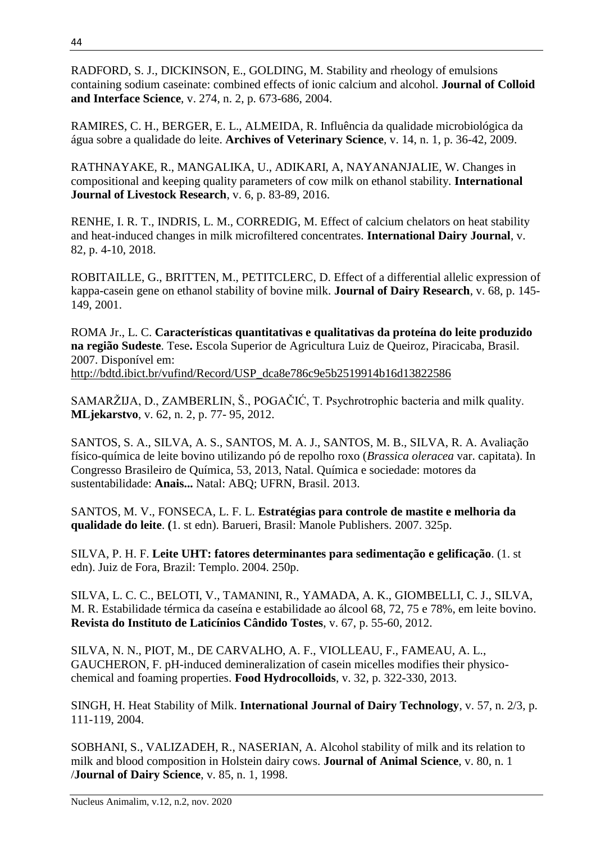RADFORD, S. J., DICKINSON, E., GOLDING, M. Stability and rheology of emulsions containing sodium caseinate: combined effects of ionic calcium and alcohol. **Journal of Colloid and Interface Science**, v. 274, n. 2, p. 673-686, 2004.

RAMIRES, C. H., BERGER, E. L., ALMEIDA, R. Influência da qualidade microbiológica da água sobre a qualidade do leite. **Archives of Veterinary Science**, v. 14, n. 1, p. 36-42, 2009.

RATHNAYAKE, R., MANGALIKA, U., ADIKARI, A, NAYANANJALIE, W. Changes in compositional and keeping quality parameters of cow milk on ethanol stability. **International Journal of Livestock Research**, v. 6, p. 83-89, 2016.

RENHE, I. R. T., INDRIS, L. M., CORREDIG, M. Effect of calcium chelators on heat stability and heat-induced changes in milk microfiltered concentrates. **International Dairy Journal**, v. 82, p. 4-10, 2018.

ROBITAILLE, G., BRITTEN, M., PETITCLERC, D. Effect of a differential allelic expression of kappa-casein gene on ethanol stability of bovine milk. **Journal of Dairy Research**, v. 68, p. 145- 149, 2001.

ROMA Jr., L. C. **Características quantitativas e qualitativas da proteína do leite produzido na região Sudeste**. Tese**.** Escola Superior de Agricultura Luiz de Queiroz, Piracicaba, Brasil. 2007. Disponível em: [http://bdtd.ibict.br/vufind/Record/USP\\_dca8e786c9e5b2519914b16d13822586](http://bdtd.ibict.br/vufind/Record/USP_dca8e786c9e5b2519914b16d13822586)

SAMARŽIJA, D., ZAMBERLIN, Š., POGAČIĆ, T. Psychrotrophic bacteria and milk quality. **MLjekarstvo**, v. 62, n. 2, p. 77- 95, 2012.

SANTOS, S. A., SILVA, A. S., SANTOS, M. A. J., SANTOS, M. B., SILVA, R. A. Avaliação físico-química de leite bovino utilizando pó de repolho roxo (*Brassica oleracea* var. capitata). In Congresso Brasileiro de Química, 53, 2013, Natal. Química e sociedade: motores da sustentabilidade: **Anais...** Natal: ABQ; UFRN, Brasil. 2013.

SANTOS, M. V., FONSECA, L. F. L. **Estratégias para controle de mastite e melhoria da qualidade do leite**. **(**1. st edn). Barueri, Brasil: Manole Publishers. 2007. 325p.

SILVA, P. H. F. **Leite UHT: fatores determinantes para sedimentação e gelificação**. (1. st edn). Juiz de Fora, Brazil: Templo. 2004. 250p.

SILVA, L. C. C., BELOTI, V., TAMANINI, R., YAMADA, A. K., GIOMBELLI, C. J., SILVA, M. R. Estabilidade térmica da caseína e estabilidade ao álcool 68, 72, 75 e 78%, em leite bovino. **Revista do Instituto de Laticínios Cândido Tostes**, v. 67, p. 55-60, 2012.

SILVA, N. N., PIOT, M., DE CARVALHO, A. F., VIOLLEAU, F., FAMEAU, A. L., GAUCHERON, F. pH-induced demineralization of casein micelles modifies their physicochemical and foaming properties. **Food Hydrocolloids**, v. 32, p. 322-330, 2013.

SINGH, H. Heat Stability of Milk. **International Journal of Dairy Technology**, v. 57, n. 2/3, p. 111-119, 2004.

SOBHANI, S., VALIZADEH, R., NASERIAN, A. Alcohol stability of milk and its relation to milk and blood composition in Holstein dairy cows. **Journal of Animal Science**, v. 80, n. 1 /**Journal of Dairy Science**, v. 85, n. 1, 1998.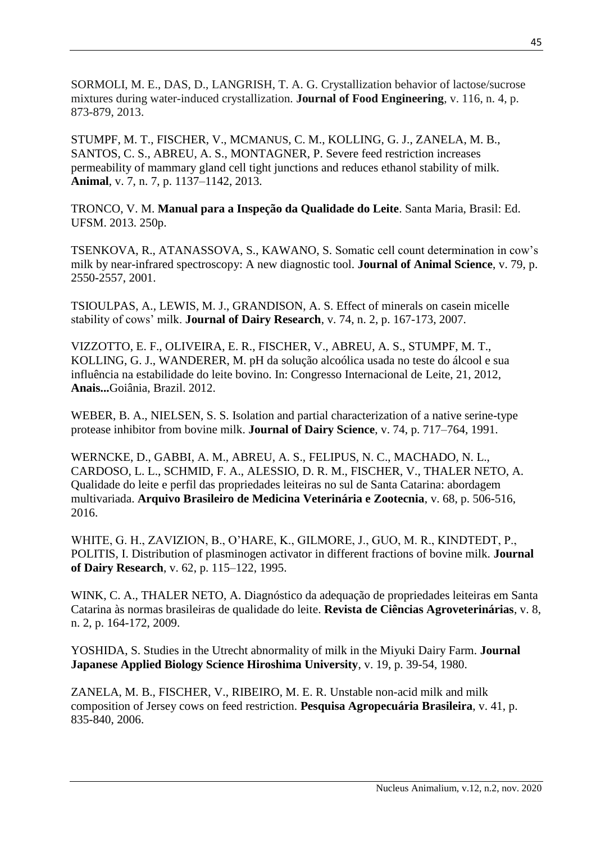SORMOLI, M. E., DAS, D., LANGRISH, T. A. G. Crystallization behavior of lactose/sucrose mixtures during water-induced crystallization. **Journal of Food Engineering**, v. 116, n. 4, p. 873-879, 2013.

STUMPF, M. T., FISCHER, V., MCMANUS, C. M., KOLLING, G. J., ZANELA, M. B., SANTOS, C. S., ABREU, A. S., MONTAGNER, P. Severe feed restriction increases permeability of mammary gland cell tight junctions and reduces ethanol stability of milk. **Animal**, v. 7, n. 7, p. 1137–1142, 2013.

TRONCO, V. M. **Manual para a Inspeção da Qualidade do Leite**. Santa Maria, Brasil: Ed. UFSM. 2013. 250p.

TSENKOVA, R., ATANASSOVA, S., KAWANO, S. Somatic cell count determination in cow's milk by near-infrared spectroscopy: A new diagnostic tool. **Journal of Animal Science**, v. 79, p. 2550-2557, 2001.

TSIOULPAS, A., LEWIS, M. J., GRANDISON, A. S. Effect of minerals on casein micelle stability of cows' milk. **Journal of Dairy Research**, v. 74, n. 2, p. 167-173, 2007.

VIZZOTTO, E. F., OLIVEIRA, E. R., FISCHER, V., ABREU, A. S., STUMPF, M. T., KOLLING, G. J., WANDERER, M. pH da solução alcoólica usada no teste do álcool e sua influência na estabilidade do leite bovino. In: Congresso Internacional de Leite, 21, 2012, **Anais...**Goiânia, Brazil. 2012.

WEBER, B. A., NIELSEN, S. S. Isolation and partial characterization of a native serine-type protease inhibitor from bovine milk. **Journal of Dairy Science**, v. 74, p. 717–764, 1991.

WERNCKE, D., GABBI, A. M., ABREU, A. S., FELIPUS, N. C., MACHADO, N. L., CARDOSO, L. L., SCHMID, F. A., ALESSIO, D. R. M., FISCHER, V., THALER NETO, A. Qualidade do leite e perfil das propriedades leiteiras no sul de Santa Catarina: abordagem multivariada. **Arquivo Brasileiro de Medicina Veterinária e Zootecnia**, v. 68, p. 506-516, 2016.

WHITE, G. H., ZAVIZION, B., O'HARE, K., GILMORE, J., GUO, M. R., KINDTEDT, P., POLITIS, I. Distribution of plasminogen activator in different fractions of bovine milk. **Journal of Dairy Research**, v. 62, p. 115–122, 1995.

WINK, C. A., THALER NETO, A. Diagnóstico da adequação de propriedades leiteiras em Santa Catarina às normas brasileiras de qualidade do leite. **Revista de Ciências Agroveterinárias**, v. 8, n. 2, p. 164-172, 2009.

YOSHIDA, S. Studies in the Utrecht abnormality of milk in the Miyuki Dairy Farm. **Journal Japanese Applied Biology Science Hiroshima University**, v. 19, p. 39-54, 1980.

ZANELA, M. B., FISCHER, V., RIBEIRO, M. E. R. Unstable non-acid milk and milk composition of Jersey cows on feed restriction. **Pesquisa Agropecuária Brasileira**, v. 41, p. 835-840, 2006.